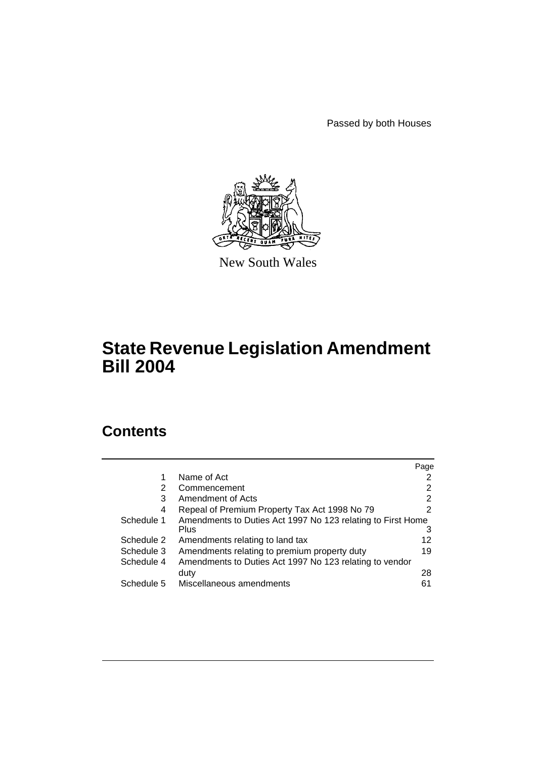Passed by both Houses



New South Wales

# **State Revenue Legislation Amendment Bill 2004**

# **Contents**

|            |                                                             | Page |
|------------|-------------------------------------------------------------|------|
| 1          | Name of Act                                                 |      |
| 2          | Commencement                                                | 2    |
| 3          | Amendment of Acts                                           | 2    |
| 4          | Repeal of Premium Property Tax Act 1998 No 79               | 2    |
| Schedule 1 | Amendments to Duties Act 1997 No 123 relating to First Home |      |
|            | Plus                                                        | З    |
| Schedule 2 | Amendments relating to land tax                             | 12   |
| Schedule 3 | Amendments relating to premium property duty                | 19   |
| Schedule 4 | Amendments to Duties Act 1997 No 123 relating to vendor     |      |
|            | duty                                                        | 28   |
| Schedule 5 | Miscellaneous amendments                                    | 61   |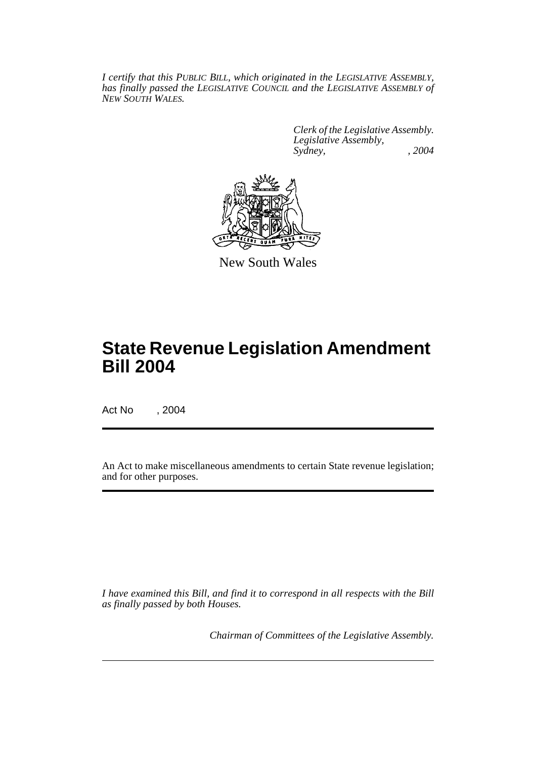*I certify that this PUBLIC BILL, which originated in the LEGISLATIVE ASSEMBLY, has finally passed the LEGISLATIVE COUNCIL and the LEGISLATIVE ASSEMBLY of NEW SOUTH WALES.*

> *Clerk of the Legislative Assembly. Legislative Assembly, Sydney, , 2004*



New South Wales

# **State Revenue Legislation Amendment Bill 2004**

Act No , 2004

An Act to make miscellaneous amendments to certain State revenue legislation; and for other purposes.

*I have examined this Bill, and find it to correspond in all respects with the Bill as finally passed by both Houses.*

*Chairman of Committees of the Legislative Assembly.*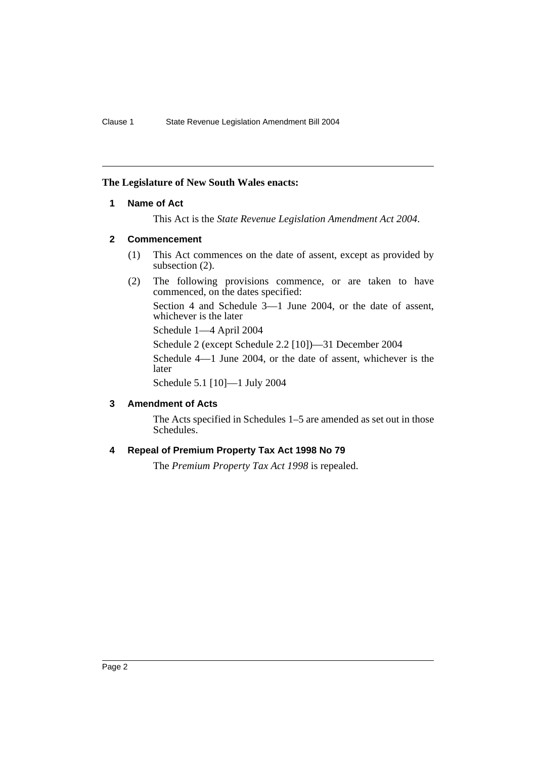## **The Legislature of New South Wales enacts:**

## **1 Name of Act**

This Act is the *State Revenue Legislation Amendment Act 2004*.

## **2 Commencement**

- (1) This Act commences on the date of assent, except as provided by subsection  $(2)$ .
- (2) The following provisions commence, or are taken to have commenced, on the dates specified:

Section 4 and Schedule 3—1 June 2004, or the date of assent, whichever is the later

Schedule 1—4 April 2004

Schedule 2 (except Schedule 2.2 [10])—31 December 2004

Schedule 4—1 June 2004, or the date of assent, whichever is the later

Schedule 5.1 [10]—1 July 2004

## **3 Amendment of Acts**

The Acts specified in Schedules 1–5 are amended as set out in those Schedules.

## **4 Repeal of Premium Property Tax Act 1998 No 79**

The *Premium Property Tax Act 1998* is repealed.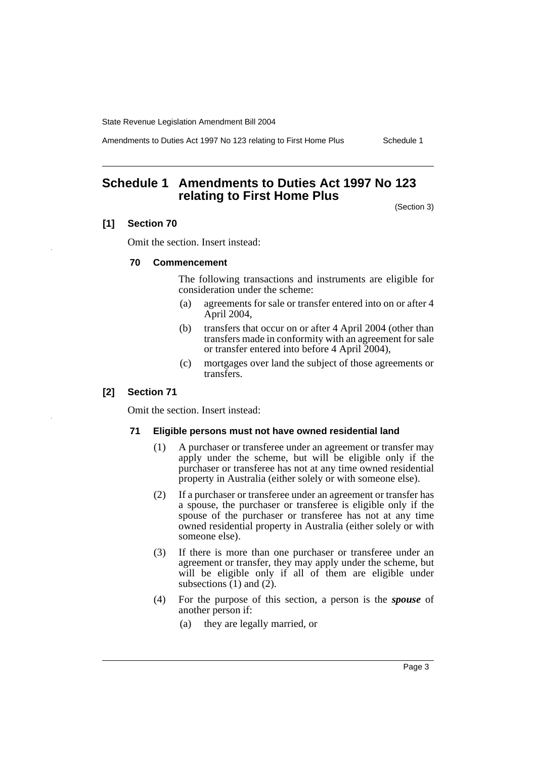Amendments to Duties Act 1997 No 123 relating to First Home Plus Schedule 1

## **Schedule 1 Amendments to Duties Act 1997 No 123 relating to First Home Plus**

(Section 3)

## **[1] Section 70**

Omit the section. Insert instead:

## **70 Commencement**

The following transactions and instruments are eligible for consideration under the scheme:

- (a) agreements for sale or transfer entered into on or after 4 April 2004,
- (b) transfers that occur on or after 4 April 2004 (other than transfers made in conformity with an agreement for sale or transfer entered into before 4 April 2004),
- (c) mortgages over land the subject of those agreements or transfers.

## **[2] Section 71**

Omit the section. Insert instead:

#### **71 Eligible persons must not have owned residential land**

- (1) A purchaser or transferee under an agreement or transfer may apply under the scheme, but will be eligible only if the purchaser or transferee has not at any time owned residential property in Australia (either solely or with someone else).
- (2) If a purchaser or transferee under an agreement or transfer has a spouse, the purchaser or transferee is eligible only if the spouse of the purchaser or transferee has not at any time owned residential property in Australia (either solely or with someone else).
- (3) If there is more than one purchaser or transferee under an agreement or transfer, they may apply under the scheme, but will be eligible only if all of them are eligible under subsections (1) and (2).
- (4) For the purpose of this section, a person is the *spouse* of another person if:
	- (a) they are legally married, or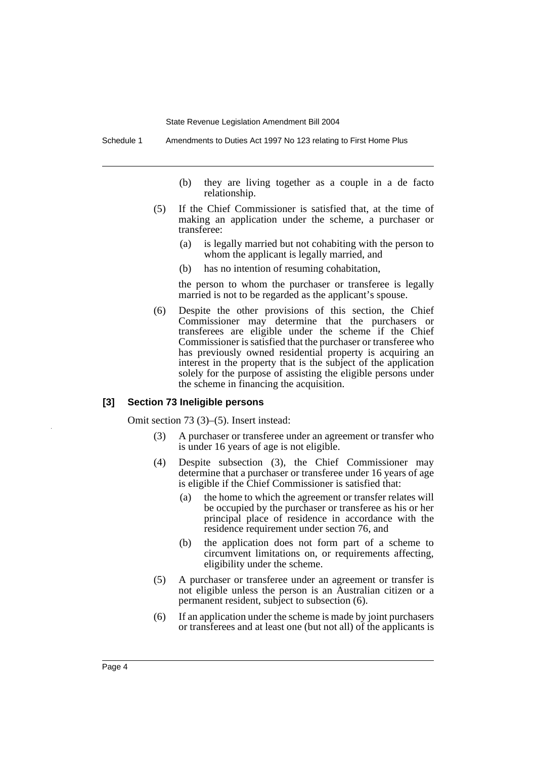Schedule 1 Amendments to Duties Act 1997 No 123 relating to First Home Plus

- (b) they are living together as a couple in a de facto relationship.
- (5) If the Chief Commissioner is satisfied that, at the time of making an application under the scheme, a purchaser or transferee:
	- (a) is legally married but not cohabiting with the person to whom the applicant is legally married, and
	- (b) has no intention of resuming cohabitation,

the person to whom the purchaser or transferee is legally married is not to be regarded as the applicant's spouse.

(6) Despite the other provisions of this section, the Chief Commissioner may determine that the purchasers or transferees are eligible under the scheme if the Chief Commissioner is satisfied that the purchaser or transferee who has previously owned residential property is acquiring an interest in the property that is the subject of the application solely for the purpose of assisting the eligible persons under the scheme in financing the acquisition.

#### **[3] Section 73 Ineligible persons**

Omit section 73 (3)–(5). Insert instead:

- (3) A purchaser or transferee under an agreement or transfer who is under 16 years of age is not eligible.
- (4) Despite subsection (3), the Chief Commissioner may determine that a purchaser or transferee under 16 years of age is eligible if the Chief Commissioner is satisfied that:
	- (a) the home to which the agreement or transfer relates will be occupied by the purchaser or transferee as his or her principal place of residence in accordance with the residence requirement under section 76, and
	- (b) the application does not form part of a scheme to circumvent limitations on, or requirements affecting, eligibility under the scheme.
- (5) A purchaser or transferee under an agreement or transfer is not eligible unless the person is an Australian citizen or a permanent resident, subject to subsection (6).
- (6) If an application under the scheme is made by joint purchasers or transferees and at least one (but not all) of the applicants is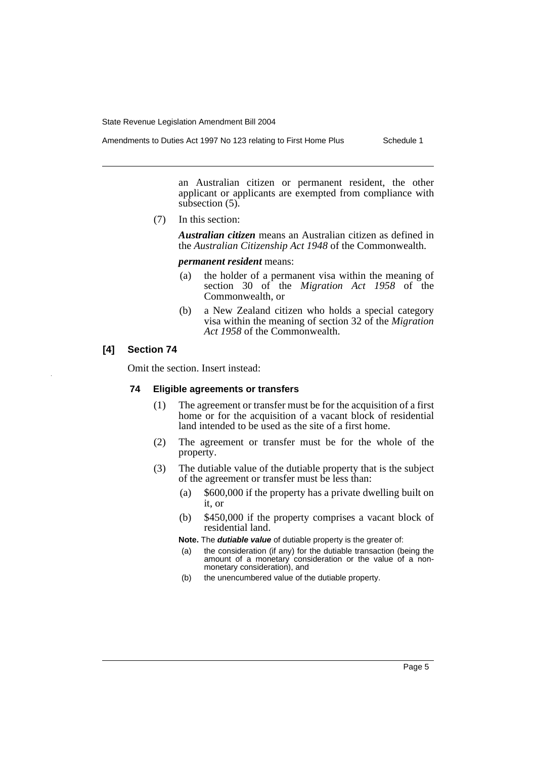Amendments to Duties Act 1997 No 123 relating to First Home Plus Schedule 1

an Australian citizen or permanent resident, the other applicant or applicants are exempted from compliance with subsection  $(5)$ .

(7) In this section:

*Australian citizen* means an Australian citizen as defined in the *Australian Citizenship Act 1948* of the Commonwealth.

#### *permanent resident* means:

- (a) the holder of a permanent visa within the meaning of section 30 of the *Migration Act 1958* of the Commonwealth, or
- (b) a New Zealand citizen who holds a special category visa within the meaning of section 32 of the *Migration Act 1958* of the Commonwealth.

## **[4] Section 74**

Omit the section. Insert instead:

### **74 Eligible agreements or transfers**

- (1) The agreement or transfer must be for the acquisition of a first home or for the acquisition of a vacant block of residential land intended to be used as the site of a first home.
- (2) The agreement or transfer must be for the whole of the property.
- (3) The dutiable value of the dutiable property that is the subject of the agreement or transfer must be less than:
	- (a) \$600,000 if the property has a private dwelling built on it, or
	- (b) \$450,000 if the property comprises a vacant block of residential land.

**Note.** The *dutiable value* of dutiable property is the greater of:

- (a) the consideration (if any) for the dutiable transaction (being the amount of a monetary consideration or the value of a nonmonetary consideration), and
- (b) the unencumbered value of the dutiable property.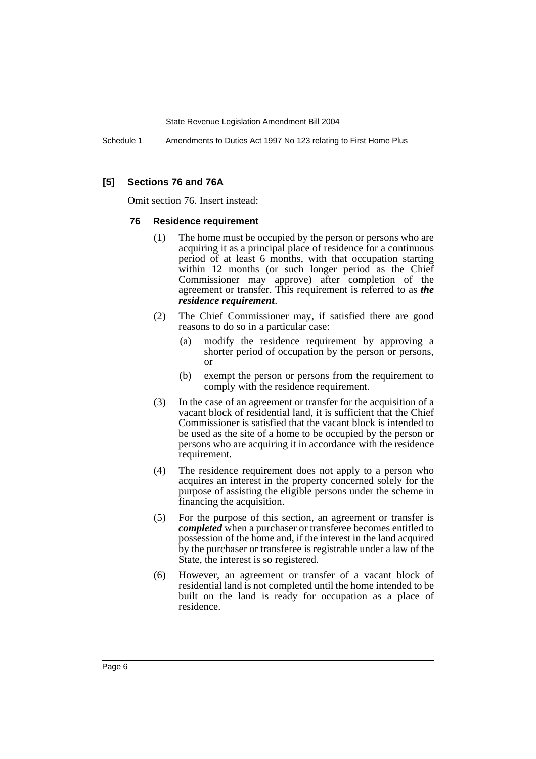Schedule 1 Amendments to Duties Act 1997 No 123 relating to First Home Plus

## **[5] Sections 76 and 76A**

Omit section 76. Insert instead:

### **76 Residence requirement**

- (1) The home must be occupied by the person or persons who are acquiring it as a principal place of residence for a continuous period of at least 6 months, with that occupation starting within 12 months (or such longer period as the Chief Commissioner may approve) after completion of the agreement or transfer. This requirement is referred to as *the residence requirement*.
- (2) The Chief Commissioner may, if satisfied there are good reasons to do so in a particular case:
	- (a) modify the residence requirement by approving a shorter period of occupation by the person or persons, or
	- (b) exempt the person or persons from the requirement to comply with the residence requirement.
- (3) In the case of an agreement or transfer for the acquisition of a vacant block of residential land, it is sufficient that the Chief Commissioner is satisfied that the vacant block is intended to be used as the site of a home to be occupied by the person or persons who are acquiring it in accordance with the residence requirement.
- (4) The residence requirement does not apply to a person who acquires an interest in the property concerned solely for the purpose of assisting the eligible persons under the scheme in financing the acquisition.
- (5) For the purpose of this section, an agreement or transfer is *completed* when a purchaser or transferee becomes entitled to possession of the home and, if the interest in the land acquired by the purchaser or transferee is registrable under a law of the State, the interest is so registered.
- (6) However, an agreement or transfer of a vacant block of residential land is not completed until the home intended to be built on the land is ready for occupation as a place of residence.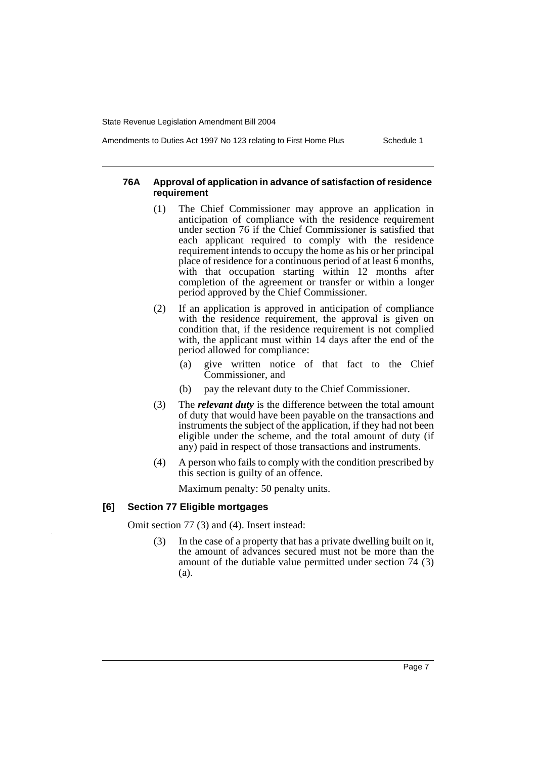**requirement**

Amendments to Duties Act 1997 No 123 relating to First Home Plus Schedule 1

# **76A Approval of application in advance of satisfaction of residence**

- (1) The Chief Commissioner may approve an application in anticipation of compliance with the residence requirement under section 76 if the Chief Commissioner is satisfied that each applicant required to comply with the residence requirement intends to occupy the home as his or her principal place of residence for a continuous period of at least 6 months, with that occupation starting within 12 months after completion of the agreement or transfer or within a longer period approved by the Chief Commissioner.
- (2) If an application is approved in anticipation of compliance with the residence requirement, the approval is given on condition that, if the residence requirement is not complied with, the applicant must within  $14$  days after the end of the period allowed for compliance:
	- (a) give written notice of that fact to the Chief Commissioner, and
	- (b) pay the relevant duty to the Chief Commissioner.
- (3) The *relevant duty* is the difference between the total amount of duty that would have been payable on the transactions and instruments the subject of the application, if they had not been eligible under the scheme, and the total amount of duty (if any) paid in respect of those transactions and instruments.
- (4) A person who fails to comply with the condition prescribed by this section is guilty of an offence.

Maximum penalty: 50 penalty units.

## **[6] Section 77 Eligible mortgages**

Omit section 77 (3) and (4). Insert instead:

(3) In the case of a property that has a private dwelling built on it, the amount of advances secured must not be more than the amount of the dutiable value permitted under section 74 (3) (a).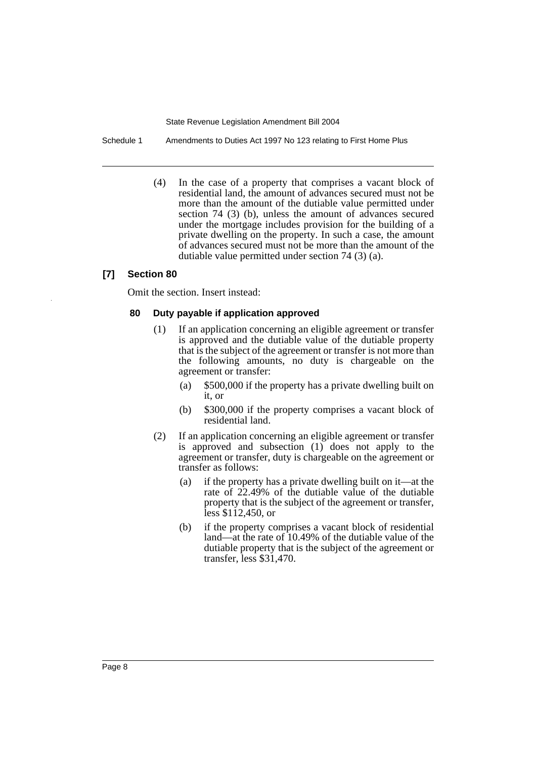Schedule 1 Amendments to Duties Act 1997 No 123 relating to First Home Plus

(4) In the case of a property that comprises a vacant block of residential land, the amount of advances secured must not be more than the amount of the dutiable value permitted under section 74 (3) (b), unless the amount of advances secured under the mortgage includes provision for the building of a private dwelling on the property. In such a case, the amount of advances secured must not be more than the amount of the dutiable value permitted under section 74 (3) (a).

## **[7] Section 80**

Omit the section. Insert instead:

#### **80 Duty payable if application approved**

- (1) If an application concerning an eligible agreement or transfer is approved and the dutiable value of the dutiable property that is the subject of the agreement or transfer is not more than the following amounts, no duty is chargeable on the agreement or transfer:
	- (a) \$500,000 if the property has a private dwelling built on it, or
	- (b) \$300,000 if the property comprises a vacant block of residential land.
- (2) If an application concerning an eligible agreement or transfer is approved and subsection (1) does not apply to the agreement or transfer, duty is chargeable on the agreement or transfer as follows:
	- (a) if the property has a private dwelling built on it—at the rate of 22.49% of the dutiable value of the dutiable property that is the subject of the agreement or transfer, less \$112,450, or
	- (b) if the property comprises a vacant block of residential land—at the rate of 10.49% of the dutiable value of the dutiable property that is the subject of the agreement or transfer, less \$31,470.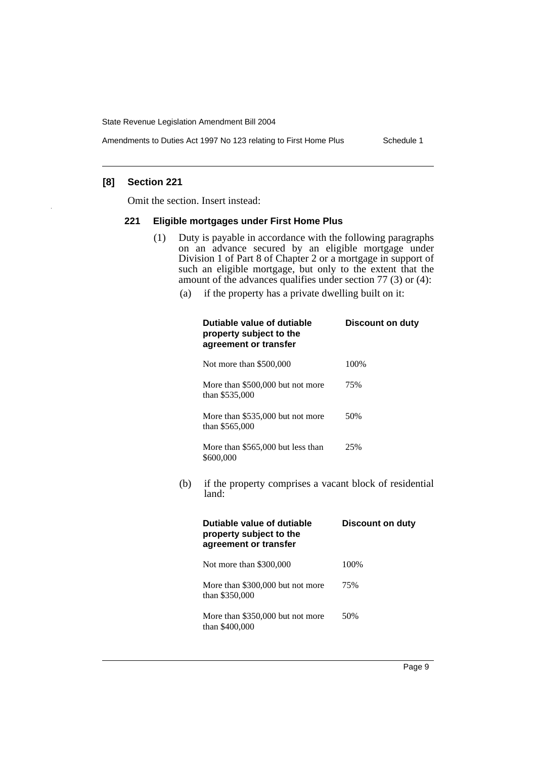Amendments to Duties Act 1997 No 123 relating to First Home Plus Schedule 1

## **[8] Section 221**

Omit the section. Insert instead:

#### **221 Eligible mortgages under First Home Plus**

- (1) Duty is payable in accordance with the following paragraphs on an advance secured by an eligible mortgage under Division 1 of Part 8 of Chapter 2 or a mortgage in support of such an eligible mortgage, but only to the extent that the amount of the advances qualifies under section 77 (3) or (4):
	- (a) if the property has a private dwelling built on it:

|     | Dutiable value of dutiable<br>property subject to the<br>agreement or transfer | <b>Discount on duty</b> |  |
|-----|--------------------------------------------------------------------------------|-------------------------|--|
|     | Not more than \$500,000                                                        | 100%                    |  |
|     | More than \$500,000 but not more<br>than \$535,000                             | 75%                     |  |
|     | More than \$535,000 but not more<br>than \$565,000                             | 50%                     |  |
|     | More than \$565,000 but less than<br>\$600,000                                 | 25%                     |  |
| (b) | if the property comprises a vacant block of residential<br>land:               |                         |  |
|     | Dutiable value of dutiable<br>property subject to the<br>agreement or transfer | <b>Discount on duty</b> |  |
|     | Not more than \$300,000                                                        | 100%                    |  |
|     | More than \$300,000 but not more<br>than \$350,000                             | 75%                     |  |
|     | More than \$350,000 but not more<br>than \$400,000                             | 50%                     |  |
|     |                                                                                |                         |  |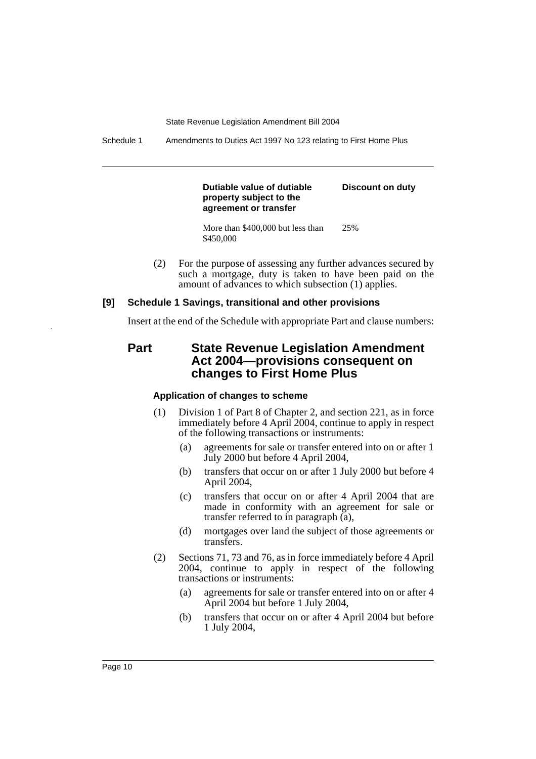Schedule 1 Amendments to Duties Act 1997 No 123 relating to First Home Plus

**Dutiable value of dutiable property subject to the agreement or transfer**

**Discount on duty**

More than \$400,000 but less than \$450,000 25%

(2) For the purpose of assessing any further advances secured by such a mortgage, duty is taken to have been paid on the amount of advances to which subsection (1) applies.

#### **[9] Schedule 1 Savings, transitional and other provisions**

Insert at the end of the Schedule with appropriate Part and clause numbers:

**Part State Revenue Legislation Amendment Act 2004—provisions consequent on changes to First Home Plus**

## **Application of changes to scheme**

- (1) Division 1 of Part 8 of Chapter 2, and section 221, as in force immediately before 4 April 2004, continue to apply in respect of the following transactions or instruments:
	- (a) agreements for sale or transfer entered into on or after 1 July 2000 but before 4 April 2004,
	- (b) transfers that occur on or after 1 July 2000 but before 4 April 2004,
	- (c) transfers that occur on or after 4 April 2004 that are made in conformity with an agreement for sale or transfer referred to in paragraph (a),
	- (d) mortgages over land the subject of those agreements or transfers.
- (2) Sections 71, 73 and 76, as in force immediately before 4 April 2004, continue to apply in respect of the following transactions or instruments:
	- (a) agreements for sale or transfer entered into on or after 4 April 2004 but before 1 July 2004,
	- (b) transfers that occur on or after 4 April 2004 but before 1 July 2004,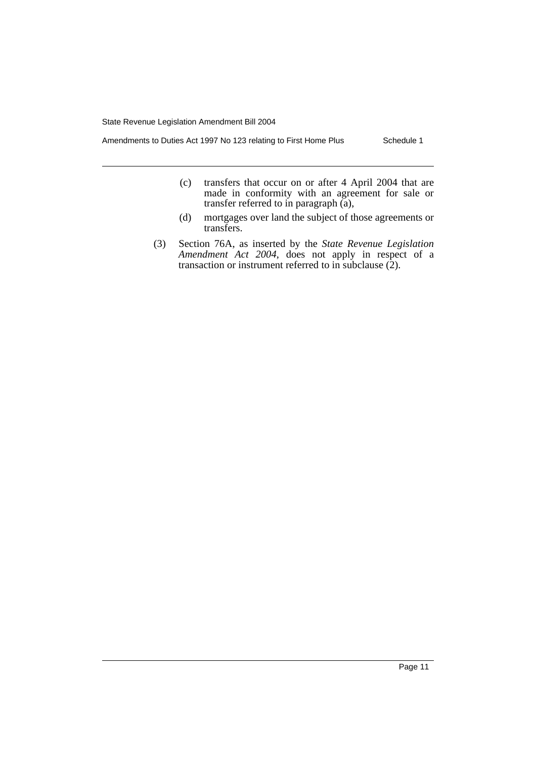Amendments to Duties Act 1997 No 123 relating to First Home Plus Schedule 1

- (c) transfers that occur on or after 4 April 2004 that are made in conformity with an agreement for sale or transfer referred to in paragraph (a),
- (d) mortgages over land the subject of those agreements or transfers.
- (3) Section 76A, as inserted by the *State Revenue Legislation Amendment Act 2004*, does not apply in respect of a transaction or instrument referred to in subclause  $(2)$ .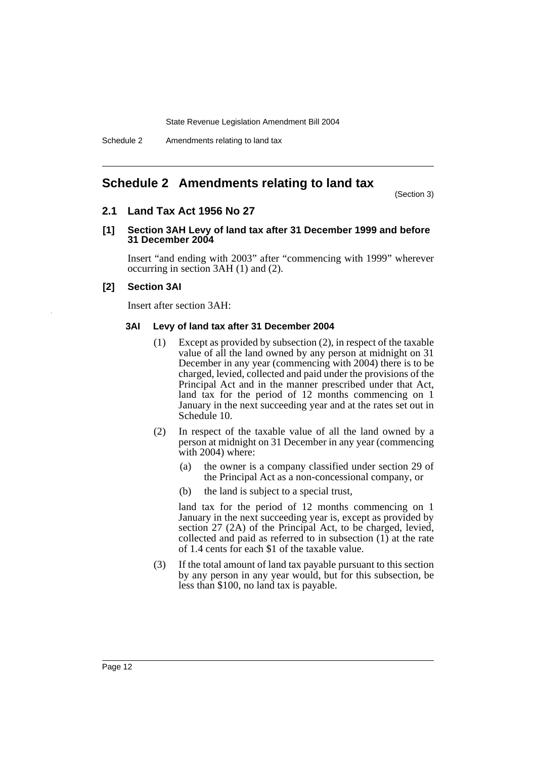## **Schedule 2 Amendments relating to land tax**

(Section 3)

## **2.1 Land Tax Act 1956 No 27**

## **[1] Section 3AH Levy of land tax after 31 December 1999 and before 31 December 2004**

Insert "and ending with 2003" after "commencing with 1999" wherever occurring in section 3AH (1) and (2).

### **[2] Section 3AI**

Insert after section 3AH:

#### **3AI Levy of land tax after 31 December 2004**

- (1) Except as provided by subsection (2), in respect of the taxable value of all the land owned by any person at midnight on 31 December in any year (commencing with 2004) there is to be charged, levied, collected and paid under the provisions of the Principal Act and in the manner prescribed under that Act, land tax for the period of 12 months commencing on 1 January in the next succeeding year and at the rates set out in Schedule 10.
- (2) In respect of the taxable value of all the land owned by a person at midnight on 31 December in any year (commencing with 2004) where:
	- (a) the owner is a company classified under section 29 of the Principal Act as a non-concessional company, or
	- (b) the land is subject to a special trust,

land tax for the period of 12 months commencing on 1 January in the next succeeding year is, except as provided by section 27 (2A) of the Principal Act, to be charged, levied, collected and paid as referred to in subsection (1) at the rate of 1.4 cents for each \$1 of the taxable value.

(3) If the total amount of land tax payable pursuant to this section by any person in any year would, but for this subsection, be less than \$100, no land tax is payable.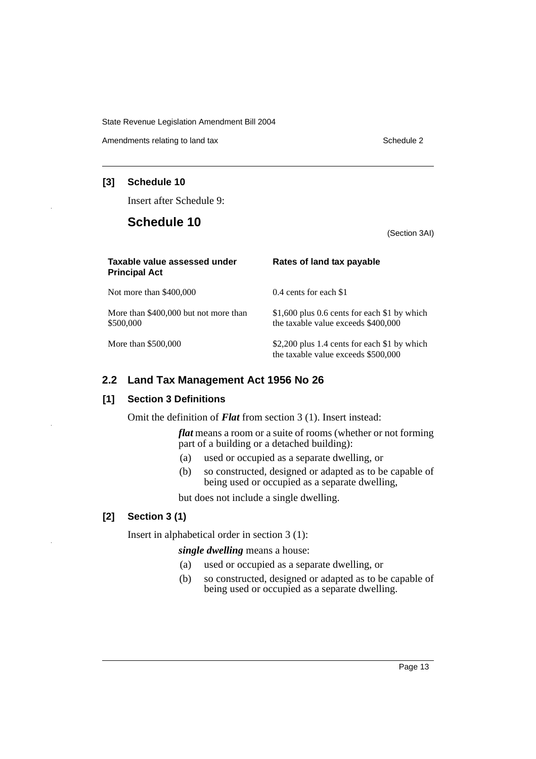Amendments relating to land tax Schedule 2

## **[3] Schedule 10**

Insert after Schedule 9:

## **Schedule 10**

(Section 3AI)

| Taxable value assessed under<br><b>Principal Act</b> | Rates of land tax payable                                                           |
|------------------------------------------------------|-------------------------------------------------------------------------------------|
| Not more than \$400,000                              | 0.4 cents for each \$1                                                              |
| More than \$400,000 but not more than<br>\$500,000   | \$1,600 plus 0.6 cents for each \$1 by which<br>the taxable value exceeds \$400,000 |
| More than \$500,000                                  | \$2,200 plus 1.4 cents for each \$1 by which<br>the taxable value exceeds \$500,000 |

## **2.2 Land Tax Management Act 1956 No 26**

## **[1] Section 3 Definitions**

Omit the definition of *Flat* from section 3 (1). Insert instead:

*flat* means a room or a suite of rooms (whether or not forming part of a building or a detached building):

- (a) used or occupied as a separate dwelling, or
- (b) so constructed, designed or adapted as to be capable of being used or occupied as a separate dwelling,

but does not include a single dwelling.

## **[2] Section 3 (1)**

Insert in alphabetical order in section 3 (1):

## *single dwelling* means a house:

- (a) used or occupied as a separate dwelling, or
- (b) so constructed, designed or adapted as to be capable of being used or occupied as a separate dwelling.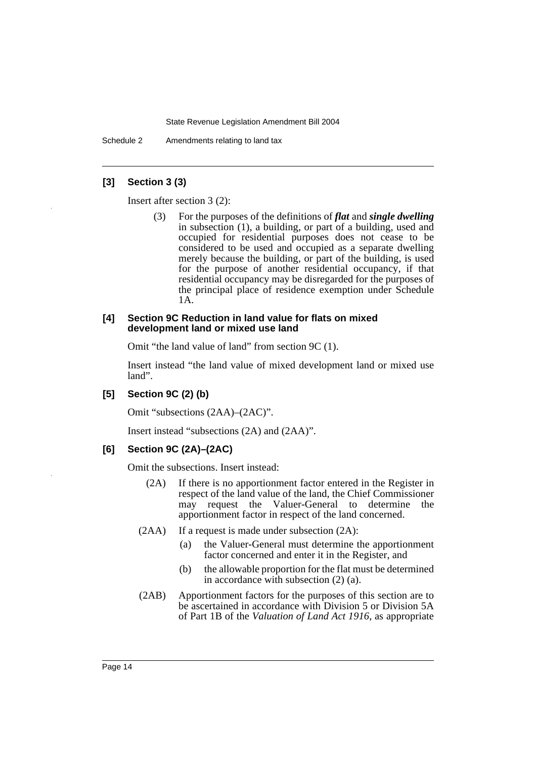Schedule 2 Amendments relating to land tax

### **[3] Section 3 (3)**

Insert after section 3 (2):

(3) For the purposes of the definitions of *flat* and *single dwelling* in subsection (1), a building, or part of a building, used and occupied for residential purposes does not cease to be considered to be used and occupied as a separate dwelling merely because the building, or part of the building, is used for the purpose of another residential occupancy, if that residential occupancy may be disregarded for the purposes of the principal place of residence exemption under Schedule 1A.

#### **[4] Section 9C Reduction in land value for flats on mixed development land or mixed use land**

Omit "the land value of land" from section 9C (1).

Insert instead "the land value of mixed development land or mixed use land".

## **[5] Section 9C (2) (b)**

Omit "subsections (2AA)–(2AC)".

Insert instead "subsections (2A) and (2AA)".

#### **[6] Section 9C (2A)–(2AC)**

Omit the subsections. Insert instead:

- (2A) If there is no apportionment factor entered in the Register in respect of the land value of the land, the Chief Commissioner may request the Valuer-General to determine the apportionment factor in respect of the land concerned.
- $(2AA)$  If a request is made under subsection  $(2A)$ :
	- (a) the Valuer-General must determine the apportionment factor concerned and enter it in the Register, and
	- (b) the allowable proportion for the flat must be determined in accordance with subsection (2) (a).
- (2AB) Apportionment factors for the purposes of this section are to be ascertained in accordance with Division 5 or Division 5A of Part 1B of the *Valuation of Land Act 1916*, as appropriate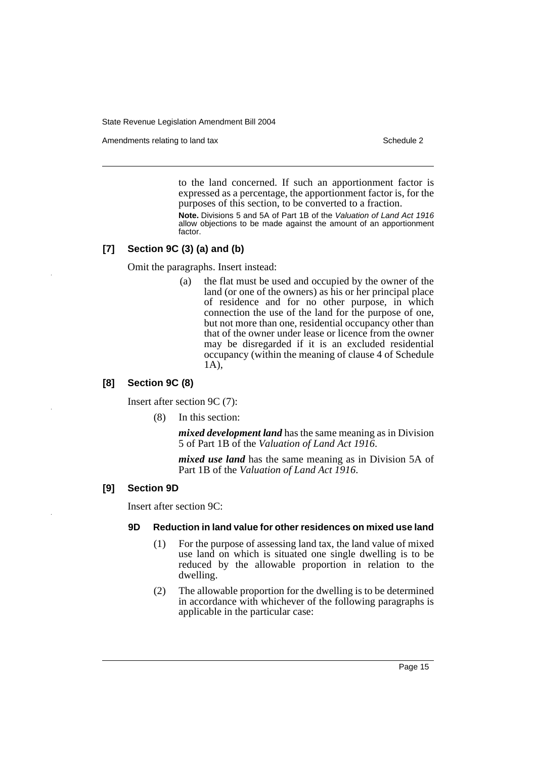Amendments relating to land tax Schedule 2

to the land concerned. If such an apportionment factor is expressed as a percentage, the apportionment factor is, for the purposes of this section, to be converted to a fraction.

**Note.** Divisions 5 and 5A of Part 1B of the *Valuation of Land Act 1916* allow objections to be made against the amount of an apportionment factor.

## **[7] Section 9C (3) (a) and (b)**

Omit the paragraphs. Insert instead:

(a) the flat must be used and occupied by the owner of the land (or one of the owners) as his or her principal place of residence and for no other purpose, in which connection the use of the land for the purpose of one, but not more than one, residential occupancy other than that of the owner under lease or licence from the owner may be disregarded if it is an excluded residential occupancy (within the meaning of clause 4 of Schedule 1A),

## **[8] Section 9C (8)**

Insert after section 9C (7):

(8) In this section:

*mixed development land* has the same meaning as in Division 5 of Part 1B of the *Valuation of Land Act 1916*.

*mixed use land* has the same meaning as in Division 5A of Part 1B of the *Valuation of Land Act 1916*.

## **[9] Section 9D**

Insert after section 9C:

#### **9D Reduction in land value for other residences on mixed use land**

- (1) For the purpose of assessing land tax, the land value of mixed use land on which is situated one single dwelling is to be reduced by the allowable proportion in relation to the dwelling.
- (2) The allowable proportion for the dwelling is to be determined in accordance with whichever of the following paragraphs is applicable in the particular case: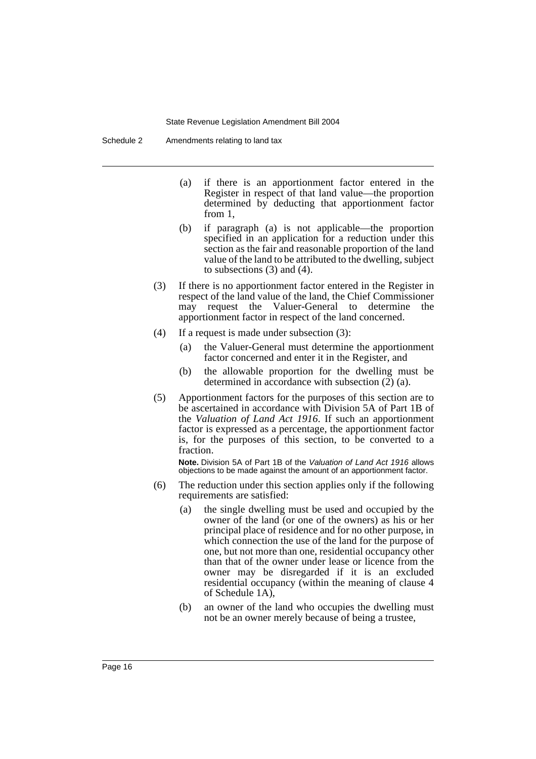Schedule 2 Amendments relating to land tax

- (a) if there is an apportionment factor entered in the Register in respect of that land value—the proportion determined by deducting that apportionment factor from 1,
- (b) if paragraph (a) is not applicable—the proportion specified in an application for a reduction under this section as the fair and reasonable proportion of the land value of the land to be attributed to the dwelling, subject to subsections (3) and (4).
- (3) If there is no apportionment factor entered in the Register in respect of the land value of the land, the Chief Commissioner may request the Valuer-General to determine the apportionment factor in respect of the land concerned.
- (4) If a request is made under subsection (3):
	- (a) the Valuer-General must determine the apportionment factor concerned and enter it in the Register, and
	- (b) the allowable proportion for the dwelling must be determined in accordance with subsection (2) (a).
- (5) Apportionment factors for the purposes of this section are to be ascertained in accordance with Division 5A of Part 1B of the *Valuation of Land Act 1916*. If such an apportionment factor is expressed as a percentage, the apportionment factor is, for the purposes of this section, to be converted to a fraction.

**Note.** Division 5A of Part 1B of the *Valuation of Land Act 1916* allows objections to be made against the amount of an apportionment factor.

- (6) The reduction under this section applies only if the following requirements are satisfied:
	- (a) the single dwelling must be used and occupied by the owner of the land (or one of the owners) as his or her principal place of residence and for no other purpose, in which connection the use of the land for the purpose of one, but not more than one, residential occupancy other than that of the owner under lease or licence from the owner may be disregarded if it is an excluded residential occupancy (within the meaning of clause 4 of Schedule 1A),
	- (b) an owner of the land who occupies the dwelling must not be an owner merely because of being a trustee,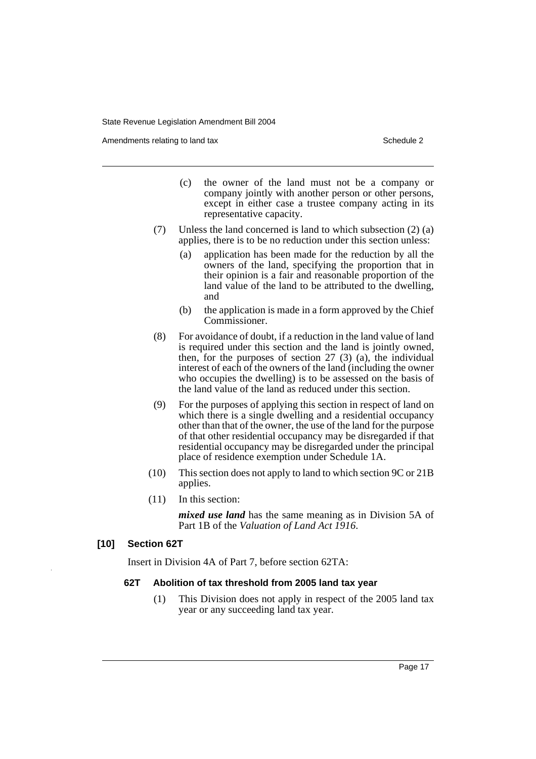Amendments relating to land tax Schedule 2

- (c) the owner of the land must not be a company or company jointly with another person or other persons, except in either case a trustee company acting in its representative capacity.
- (7) Unless the land concerned is land to which subsection (2) (a) applies, there is to be no reduction under this section unless:
	- (a) application has been made for the reduction by all the owners of the land, specifying the proportion that in their opinion is a fair and reasonable proportion of the land value of the land to be attributed to the dwelling, and
	- (b) the application is made in a form approved by the Chief Commissioner.
- (8) For avoidance of doubt, if a reduction in the land value of land is required under this section and the land is jointly owned, then, for the purposes of section  $27$  (3) (a), the individual interest of each of the owners of the land (including the owner who occupies the dwelling) is to be assessed on the basis of the land value of the land as reduced under this section.
- (9) For the purposes of applying this section in respect of land on which there is a single dwelling and a residential occupancy other than that of the owner, the use of the land for the purpose of that other residential occupancy may be disregarded if that residential occupancy may be disregarded under the principal place of residence exemption under Schedule 1A.
- (10) This section does not apply to land to which section 9C or 21B applies.
- (11) In this section:

*mixed use land* has the same meaning as in Division 5A of Part 1B of the *Valuation of Land Act 1916*.

## **[10] Section 62T**

Insert in Division 4A of Part 7, before section 62TA:

#### **62T Abolition of tax threshold from 2005 land tax year**

(1) This Division does not apply in respect of the 2005 land tax year or any succeeding land tax year.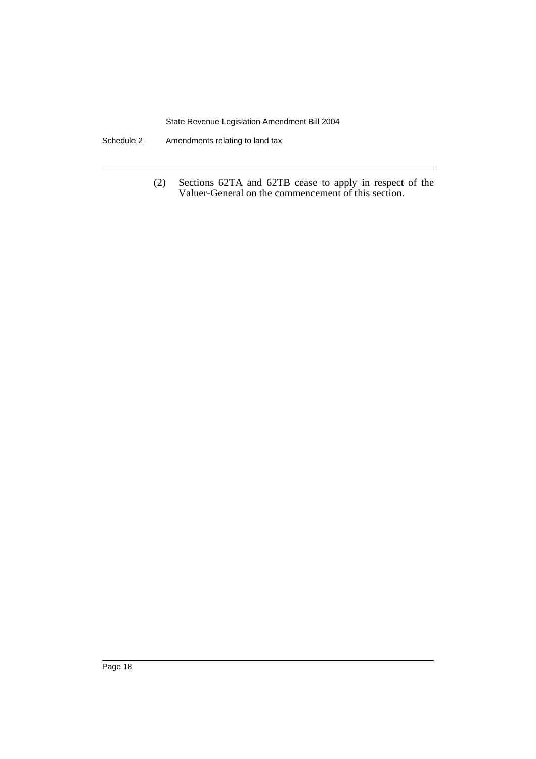- Schedule 2 Amendments relating to land tax
	- (2) Sections 62TA and 62TB cease to apply in respect of the Valuer-General on the commencement of this section.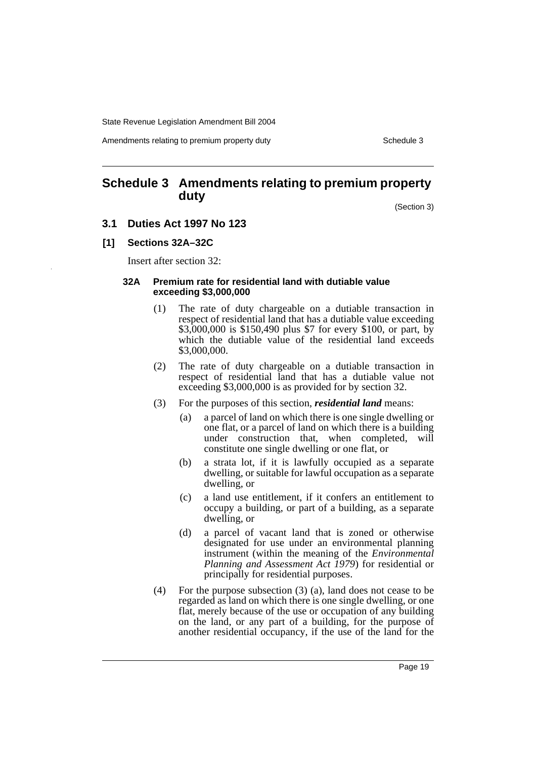Amendments relating to premium property duty Theorem 2003 Schedule 3

## **Schedule 3 Amendments relating to premium property duty**

(Section 3)

- **3.1 Duties Act 1997 No 123**
- **[1] Sections 32A–32C**

Insert after section 32:

#### **32A Premium rate for residential land with dutiable value exceeding \$3,000,000**

- (1) The rate of duty chargeable on a dutiable transaction in respect of residential land that has a dutiable value exceeding \$3,000,000 is \$150,490 plus \$7 for every \$100, or part, by which the dutiable value of the residential land exceeds \$3,000,000.
- (2) The rate of duty chargeable on a dutiable transaction in respect of residential land that has a dutiable value not exceeding \$3,000,000 is as provided for by section 32.
- (3) For the purposes of this section, *residential land* means:
	- (a) a parcel of land on which there is one single dwelling or one flat, or a parcel of land on which there is a building under construction that, when completed, will constitute one single dwelling or one flat, or
	- (b) a strata lot, if it is lawfully occupied as a separate dwelling, or suitable for lawful occupation as a separate dwelling, or
	- (c) a land use entitlement, if it confers an entitlement to occupy a building, or part of a building, as a separate dwelling, or
	- (d) a parcel of vacant land that is zoned or otherwise designated for use under an environmental planning instrument (within the meaning of the *Environmental Planning and Assessment Act 1979*) for residential or principally for residential purposes.
- (4) For the purpose subsection (3) (a), land does not cease to be regarded as land on which there is one single dwelling, or one flat, merely because of the use or occupation of any building on the land, or any part of a building, for the purpose of another residential occupancy, if the use of the land for the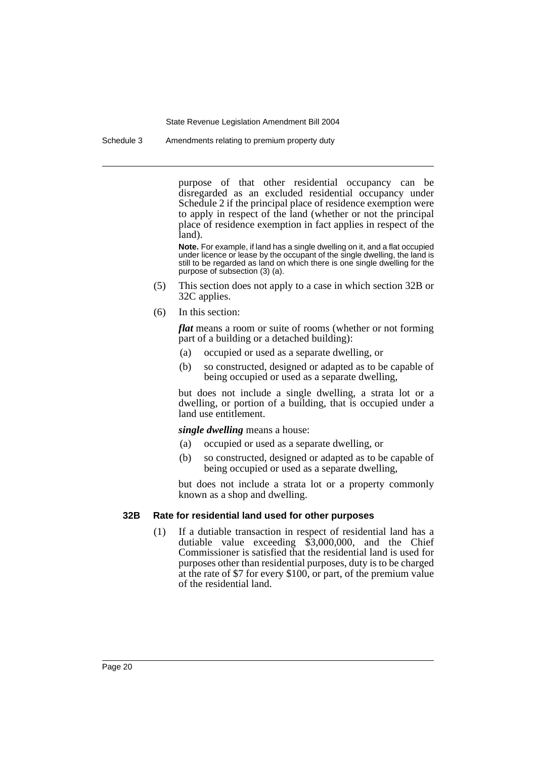Schedule 3 Amendments relating to premium property duty

purpose of that other residential occupancy can be disregarded as an excluded residential occupancy under Schedule 2 if the principal place of residence exemption were to apply in respect of the land (whether or not the principal place of residence exemption in fact applies in respect of the land).

**Note.** For example, if land has a single dwelling on it, and a flat occupied under licence or lease by the occupant of the single dwelling, the land is still to be regarded as land on which there is one single dwelling for the purpose of subsection (3) (a).

- (5) This section does not apply to a case in which section 32B or 32C applies.
- (6) In this section:

*flat* means a room or suite of rooms (whether or not forming part of a building or a detached building):

- (a) occupied or used as a separate dwelling, or
- (b) so constructed, designed or adapted as to be capable of being occupied or used as a separate dwelling,

but does not include a single dwelling, a strata lot or a dwelling, or portion of a building, that is occupied under a land use entitlement.

*single dwelling* means a house:

- (a) occupied or used as a separate dwelling, or
- (b) so constructed, designed or adapted as to be capable of being occupied or used as a separate dwelling,

but does not include a strata lot or a property commonly known as a shop and dwelling.

#### **32B Rate for residential land used for other purposes**

(1) If a dutiable transaction in respect of residential land has a dutiable value exceeding \$3,000,000, and the Chief Commissioner is satisfied that the residential land is used for purposes other than residential purposes, duty is to be charged at the rate of \$7 for every \$100, or part, of the premium value of the residential land.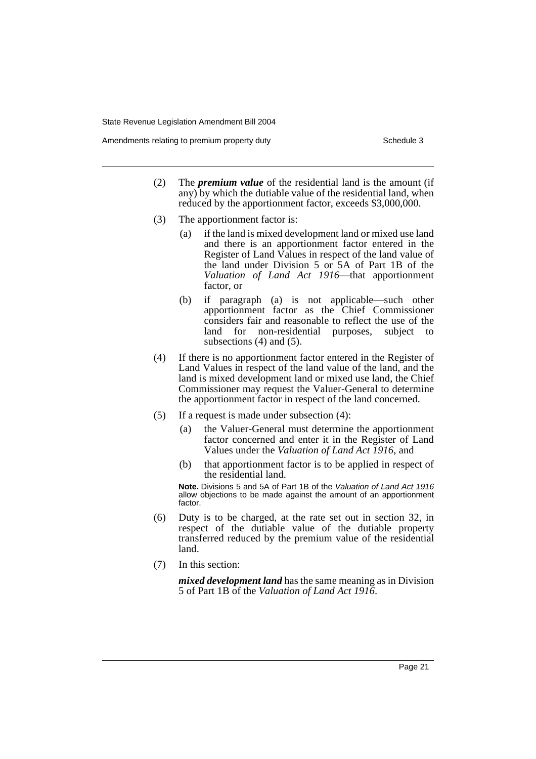Amendments relating to premium property duty Theorem 2003 Schedule 3

- (2) The *premium value* of the residential land is the amount (if any) by which the dutiable value of the residential land, when reduced by the apportionment factor, exceeds \$3,000,000.
- (3) The apportionment factor is:
	- (a) if the land is mixed development land or mixed use land and there is an apportionment factor entered in the Register of Land Values in respect of the land value of the land under Division 5 or 5A of Part 1B of the *Valuation of Land Act 1916*—that apportionment factor, or
	- (b) if paragraph (a) is not applicable—such other apportionment factor as the Chief Commissioner considers fair and reasonable to reflect the use of the land for non-residential purposes, subject to subsections (4) and (5).
- (4) If there is no apportionment factor entered in the Register of Land Values in respect of the land value of the land, and the land is mixed development land or mixed use land, the Chief Commissioner may request the Valuer-General to determine the apportionment factor in respect of the land concerned.
- (5) If a request is made under subsection (4):
	- (a) the Valuer-General must determine the apportionment factor concerned and enter it in the Register of Land Values under the *Valuation of Land Act 1916*, and
	- (b) that apportionment factor is to be applied in respect of the residential land.

**Note.** Divisions 5 and 5A of Part 1B of the *Valuation of Land Act 1916* allow objections to be made against the amount of an apportionment factor.

- (6) Duty is to be charged, at the rate set out in section 32, in respect of the dutiable value of the dutiable property transferred reduced by the premium value of the residential land.
- (7) In this section:

*mixed development land* has the same meaning as in Division 5 of Part 1B of the *Valuation of Land Act 1916*.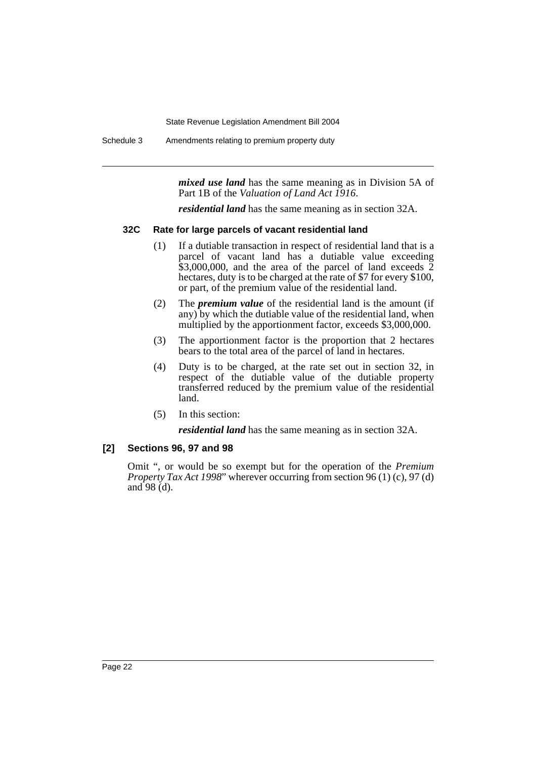Schedule 3 Amendments relating to premium property duty

*mixed use land* has the same meaning as in Division 5A of Part 1B of the *Valuation of Land Act 1916*.

*residential land* has the same meaning as in section 32A.

### **32C Rate for large parcels of vacant residential land**

- (1) If a dutiable transaction in respect of residential land that is a parcel of vacant land has a dutiable value exceeding  $$3,000,000$ , and the area of the parcel of land exceeds  $\overline{2}$ hectares, duty is to be charged at the rate of \$7 for every \$100, or part, of the premium value of the residential land.
- (2) The *premium value* of the residential land is the amount (if any) by which the dutiable value of the residential land, when multiplied by the apportionment factor, exceeds \$3,000,000.
- (3) The apportionment factor is the proportion that 2 hectares bears to the total area of the parcel of land in hectares.
- (4) Duty is to be charged, at the rate set out in section 32, in respect of the dutiable value of the dutiable property transferred reduced by the premium value of the residential land.
- (5) In this section:

*residential land* has the same meaning as in section 32A.

## **[2] Sections 96, 97 and 98**

Omit ", or would be so exempt but for the operation of the *Premium Property Tax Act 1998*" wherever occurring from section 96 (1) (c), 97 (d) and  $98$  (d).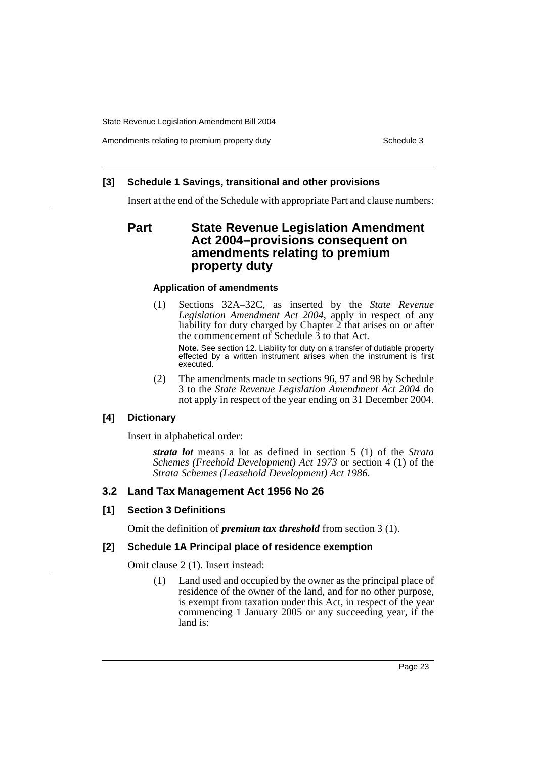Amendments relating to premium property duty Theorem 2003 Schedule 3

## **[3] Schedule 1 Savings, transitional and other provisions**

Insert at the end of the Schedule with appropriate Part and clause numbers:

## **Part State Revenue Legislation Amendment Act 2004–provisions consequent on amendments relating to premium property duty**

## **Application of amendments**

(1) Sections 32A–32C, as inserted by the *State Revenue Legislation Amendment Act 2004*, apply in respect of any liability for duty charged by Chapter 2 that arises on or after the commencement of Schedule 3 to that Act.

**Note.** See section 12. Liability for duty on a transfer of dutiable property effected by a written instrument arises when the instrument is first executed.

(2) The amendments made to sections 96, 97 and 98 by Schedule 3 to the *State Revenue Legislation Amendment Act 2004* do not apply in respect of the year ending on 31 December 2004.

## **[4] Dictionary**

Insert in alphabetical order:

*strata lot* means a lot as defined in section 5 (1) of the *Strata Schemes (Freehold Development) Act 1973* or section 4 (1) of the *Strata Schemes (Leasehold Development) Act 1986*.

## **3.2 Land Tax Management Act 1956 No 26**

## **[1] Section 3 Definitions**

Omit the definition of *premium tax threshold* from section 3 (1).

## **[2] Schedule 1A Principal place of residence exemption**

Omit clause 2 (1). Insert instead:

(1) Land used and occupied by the owner as the principal place of residence of the owner of the land, and for no other purpose, is exempt from taxation under this Act, in respect of the year commencing 1 January 2005 or any succeeding year, if the land is: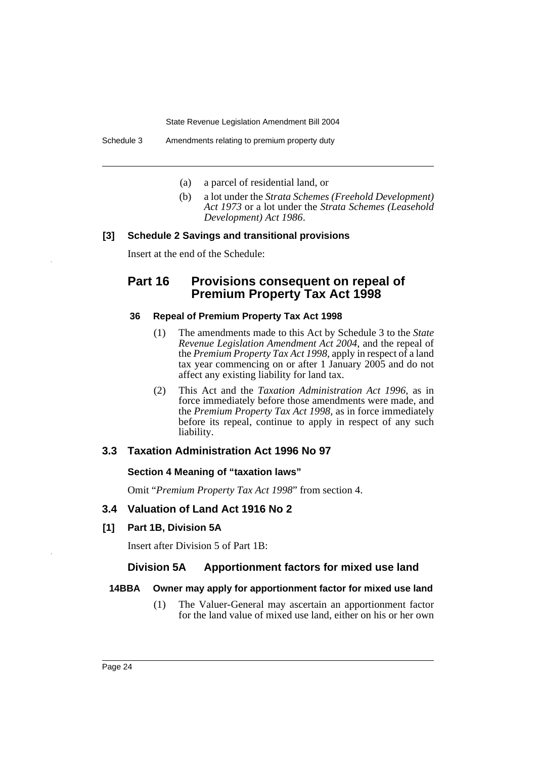- (a) a parcel of residential land, or
- (b) a lot under the *Strata Schemes (Freehold Development) Act 1973* or a lot under the *Strata Schemes (Leasehold Development) Act 1986*.

## **[3] Schedule 2 Savings and transitional provisions**

Insert at the end of the Schedule:

## Part 16 Provisions consequent on repeal of **Premium Property Tax Act 1998**

## **36 Repeal of Premium Property Tax Act 1998**

- (1) The amendments made to this Act by Schedule 3 to the *State Revenue Legislation Amendment Act 2004*, and the repeal of the *Premium Property Tax Act 1998*, apply in respect of a land tax year commencing on or after 1 January 2005 and do not affect any existing liability for land tax.
- (2) This Act and the *Taxation Administration Act 1996*, as in force immediately before those amendments were made, and the *Premium Property Tax Act 1998*, as in force immediately before its repeal, continue to apply in respect of any such liability.

## **3.3 Taxation Administration Act 1996 No 97**

## **Section 4 Meaning of "taxation laws"**

Omit "*Premium Property Tax Act 1998*" from section 4.

## **3.4 Valuation of Land Act 1916 No 2**

**[1] Part 1B, Division 5A**

Insert after Division 5 of Part 1B:

## **Division 5A Apportionment factors for mixed use land**

## **14BBA Owner may apply for apportionment factor for mixed use land**

(1) The Valuer-General may ascertain an apportionment factor for the land value of mixed use land, either on his or her own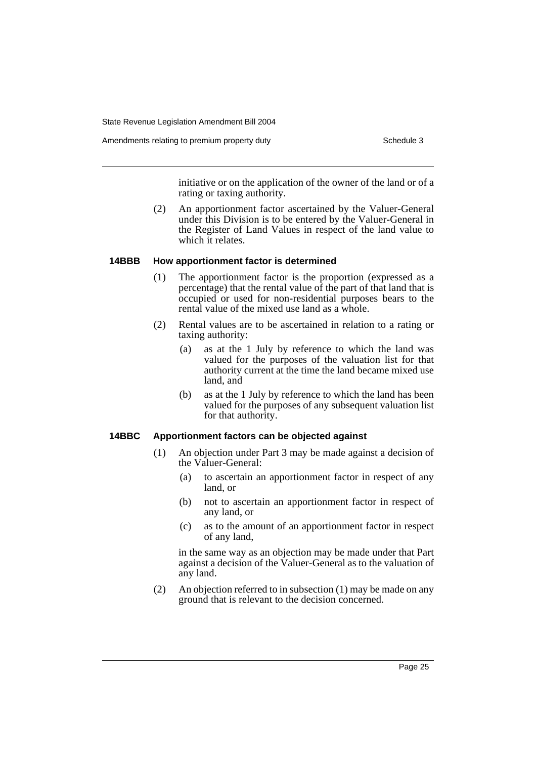Amendments relating to premium property duty Theorem 2003 Schedule 3

initiative or on the application of the owner of the land or of a rating or taxing authority.

(2) An apportionment factor ascertained by the Valuer-General under this Division is to be entered by the Valuer-General in the Register of Land Values in respect of the land value to which it relates.

### **14BBB How apportionment factor is determined**

- (1) The apportionment factor is the proportion (expressed as a percentage) that the rental value of the part of that land that is occupied or used for non-residential purposes bears to the rental value of the mixed use land as a whole.
- (2) Rental values are to be ascertained in relation to a rating or taxing authority:
	- (a) as at the 1 July by reference to which the land was valued for the purposes of the valuation list for that authority current at the time the land became mixed use land, and
	- (b) as at the 1 July by reference to which the land has been valued for the purposes of any subsequent valuation list for that authority.

## **14BBC Apportionment factors can be objected against**

- (1) An objection under Part 3 may be made against a decision of the Valuer-General:
	- (a) to ascertain an apportionment factor in respect of any land, or
	- (b) not to ascertain an apportionment factor in respect of any land, or
	- (c) as to the amount of an apportionment factor in respect of any land,

in the same way as an objection may be made under that Part against a decision of the Valuer-General as to the valuation of any land.

(2) An objection referred to in subsection (1) may be made on any ground that is relevant to the decision concerned.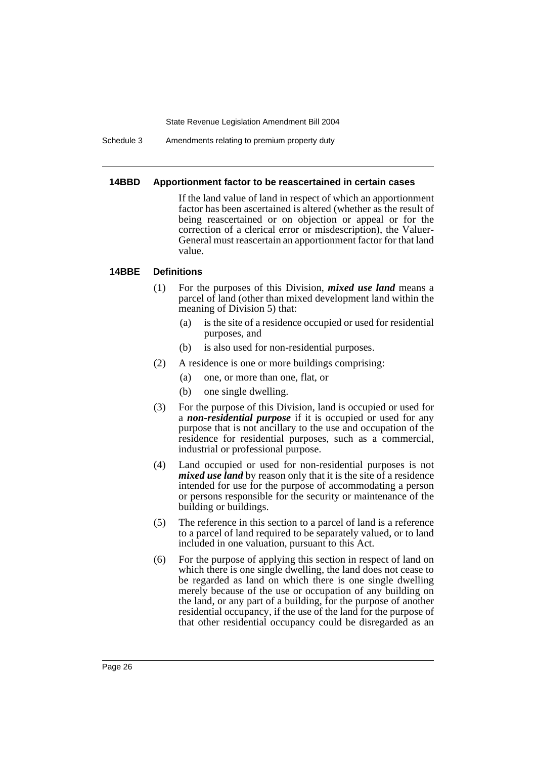Schedule 3 Amendments relating to premium property duty

#### **14BBD Apportionment factor to be reascertained in certain cases**

If the land value of land in respect of which an apportionment factor has been ascertained is altered (whether as the result of being reascertained or on objection or appeal or for the correction of a clerical error or misdescription), the Valuer-General must reascertain an apportionment factor for that land value.

## **14BBE Definitions**

- (1) For the purposes of this Division, *mixed use land* means a parcel of land (other than mixed development land within the meaning of Division 5) that:
	- (a) is the site of a residence occupied or used for residential purposes, and
	- (b) is also used for non-residential purposes.
- (2) A residence is one or more buildings comprising:
	- (a) one, or more than one, flat, or
	- (b) one single dwelling.
- (3) For the purpose of this Division, land is occupied or used for a *non-residential purpose* if it is occupied or used for any purpose that is not ancillary to the use and occupation of the residence for residential purposes, such as a commercial, industrial or professional purpose.
- (4) Land occupied or used for non-residential purposes is not *mixed use land* by reason only that it is the site of a residence intended for use for the purpose of accommodating a person or persons responsible for the security or maintenance of the building or buildings.
- (5) The reference in this section to a parcel of land is a reference to a parcel of land required to be separately valued, or to land included in one valuation, pursuant to this Act.
- (6) For the purpose of applying this section in respect of land on which there is one single dwelling, the land does not cease to be regarded as land on which there is one single dwelling merely because of the use or occupation of any building on the land, or any part of a building, for the purpose of another residential occupancy, if the use of the land for the purpose of that other residential occupancy could be disregarded as an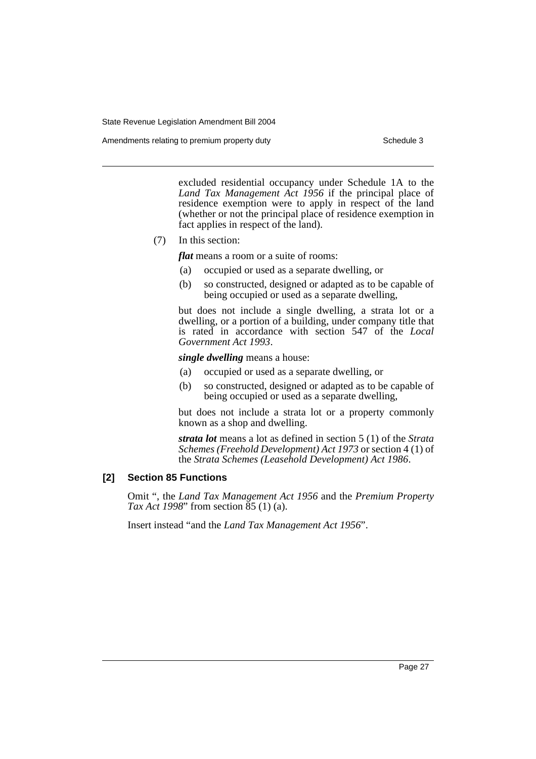Amendments relating to premium property duty Theorem 2003 Schedule 3

excluded residential occupancy under Schedule 1A to the *Land Tax Management Act 1956* if the principal place of residence exemption were to apply in respect of the land (whether or not the principal place of residence exemption in fact applies in respect of the land).

(7) In this section:

*flat* means a room or a suite of rooms:

- (a) occupied or used as a separate dwelling, or
- (b) so constructed, designed or adapted as to be capable of being occupied or used as a separate dwelling,

but does not include a single dwelling, a strata lot or a dwelling, or a portion of a building, under company title that is rated in accordance with section 547 of the *Local Government Act 1993*.

*single dwelling* means a house:

- (a) occupied or used as a separate dwelling, or
- (b) so constructed, designed or adapted as to be capable of being occupied or used as a separate dwelling,

but does not include a strata lot or a property commonly known as a shop and dwelling.

*strata lot* means a lot as defined in section 5 (1) of the *Strata Schemes (Freehold Development) Act 1973* or section 4 (1) of the *Strata Schemes (Leasehold Development) Act 1986*.

## **[2] Section 85 Functions**

Omit ", the *Land Tax Management Act 1956* and the *Premium Property Tax Act 1998*" from section 85 (1) (a).

Insert instead "and the *Land Tax Management Act 1956*".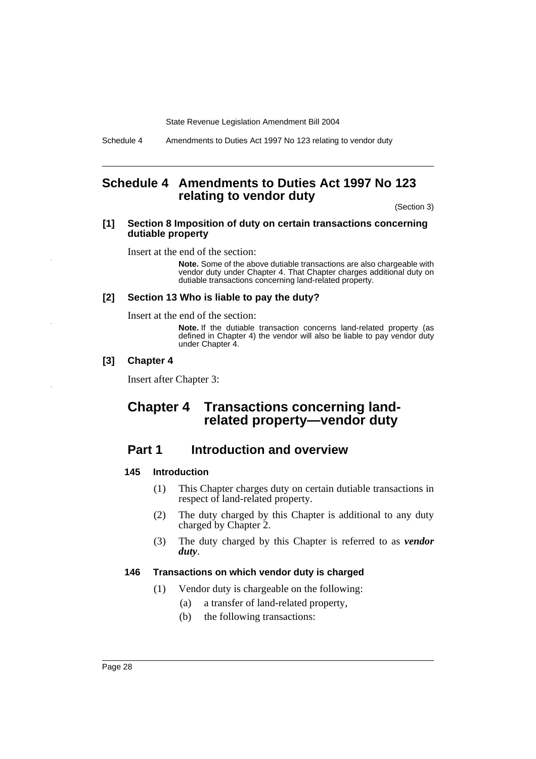Schedule 4 Amendments to Duties Act 1997 No 123 relating to vendor duty

## **Schedule 4 Amendments to Duties Act 1997 No 123 relating to vendor duty**

(Section 3)

#### **[1] Section 8 Imposition of duty on certain transactions concerning dutiable property**

Insert at the end of the section:

**Note.** Some of the above dutiable transactions are also chargeable with vendor duty under Chapter 4. That Chapter charges additional duty on dutiable transactions concerning land-related property.

### **[2] Section 13 Who is liable to pay the duty?**

Insert at the end of the section:

**Note.** If the dutiable transaction concerns land-related property (as defined in Chapter 4) the vendor will also be liable to pay vendor duty under Chapter 4.

#### **[3] Chapter 4**

Insert after Chapter 3:

## **Chapter 4 Transactions concerning landrelated property—vendor duty**

## **Part 1** Introduction and overview

## **145 Introduction**

- (1) This Chapter charges duty on certain dutiable transactions in respect of land-related property.
- (2) The duty charged by this Chapter is additional to any duty charged by Chapter 2.
- (3) The duty charged by this Chapter is referred to as *vendor duty*.

## **146 Transactions on which vendor duty is charged**

- (1) Vendor duty is chargeable on the following:
	- (a) a transfer of land-related property,
	- (b) the following transactions: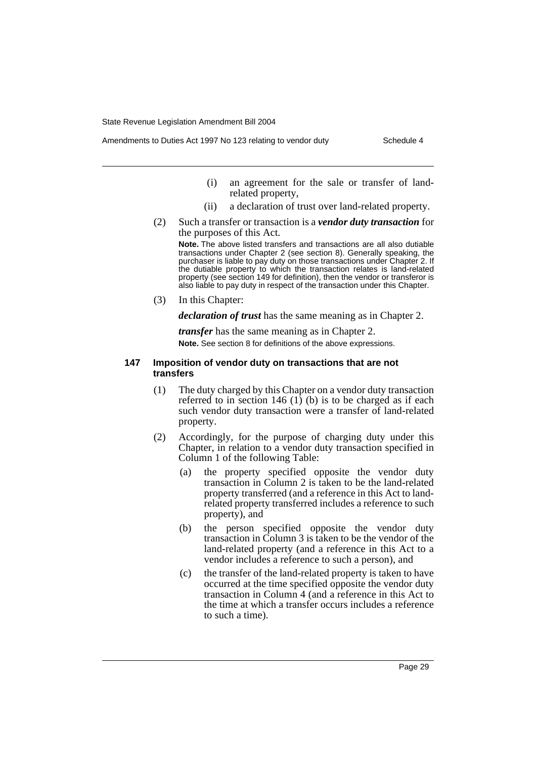- - (i) an agreement for the sale or transfer of landrelated property,
	- (ii) a declaration of trust over land-related property.
	- (2) Such a transfer or transaction is a *vendor duty transaction* for the purposes of this Act.

**Note.** The above listed transfers and transactions are all also dutiable transactions under Chapter 2 (see section 8). Generally speaking, the purchaser is liable to pay duty on those transactions under Chapter 2. If the dutiable property to which the transaction relates is land-related property (see section 149 for definition), then the vendor or transferor is also liable to pay duty in respect of the transaction under this Chapter.

(3) In this Chapter:

*declaration of trust* has the same meaning as in Chapter 2.

*transfer* has the same meaning as in Chapter 2. **Note.** See section 8 for definitions of the above expressions.

#### **147 Imposition of vendor duty on transactions that are not transfers**

- (1) The duty charged by this Chapter on a vendor duty transaction referred to in section 146 (1) (b) is to be charged as if each such vendor duty transaction were a transfer of land-related property.
- (2) Accordingly, for the purpose of charging duty under this Chapter, in relation to a vendor duty transaction specified in Column 1 of the following Table:
	- (a) the property specified opposite the vendor duty transaction in Column 2 is taken to be the land-related property transferred (and a reference in this Act to landrelated property transferred includes a reference to such property), and
	- (b) the person specified opposite the vendor duty transaction in Column 3 is taken to be the vendor of the land-related property (and a reference in this Act to a vendor includes a reference to such a person), and
	- (c) the transfer of the land-related property is taken to have occurred at the time specified opposite the vendor duty transaction in Column 4 (and a reference in this Act to the time at which a transfer occurs includes a reference to such a time).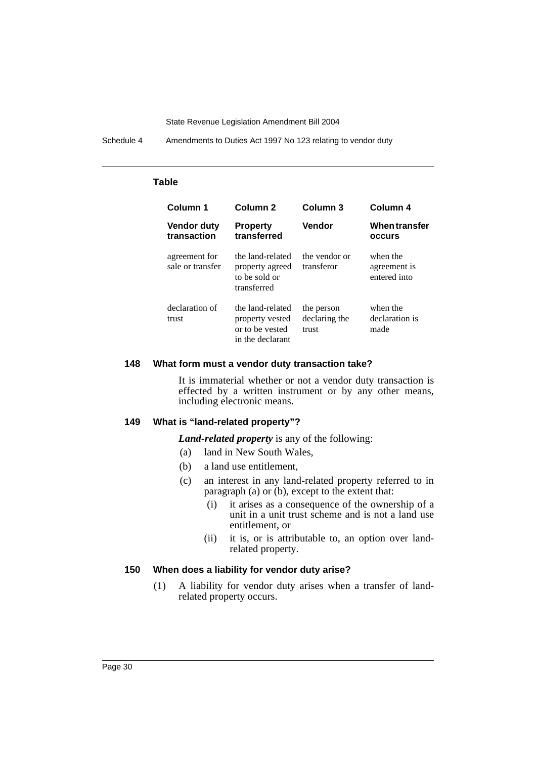Schedule 4 Amendments to Duties Act 1997 No 123 relating to vendor duty

## **Table**

| Column 1                          | Column <sub>2</sub>                                                        | Column 3                             | Column 4                                 |
|-----------------------------------|----------------------------------------------------------------------------|--------------------------------------|------------------------------------------|
| <b>Vendor duty</b><br>transaction | <b>Property</b><br>transferred                                             | Vendor                               | <b>When transfer</b><br><b>OCCULS</b>    |
| agreement for<br>sale or transfer | the land-related<br>property agreed<br>to be sold or<br>transferred        | the vendor or<br>transferor          | when the<br>agreement is<br>entered into |
| declaration of<br>trust           | the land-related<br>property vested<br>or to be vested<br>in the declarant | the person<br>declaring the<br>trust | when the<br>declaration is<br>made       |

#### **148 What form must a vendor duty transaction take?**

It is immaterial whether or not a vendor duty transaction is effected by a written instrument or by any other means, including electronic means.

## **149 What is "land-related property"?**

*Land-related property* is any of the following:

- (a) land in New South Wales,
- (b) a land use entitlement,
- (c) an interest in any land-related property referred to in paragraph (a) or (b), except to the extent that:
	- (i) it arises as a consequence of the ownership of a unit in a unit trust scheme and is not a land use entitlement, or
	- (ii) it is, or is attributable to, an option over landrelated property.

#### **150 When does a liability for vendor duty arise?**

(1) A liability for vendor duty arises when a transfer of landrelated property occurs.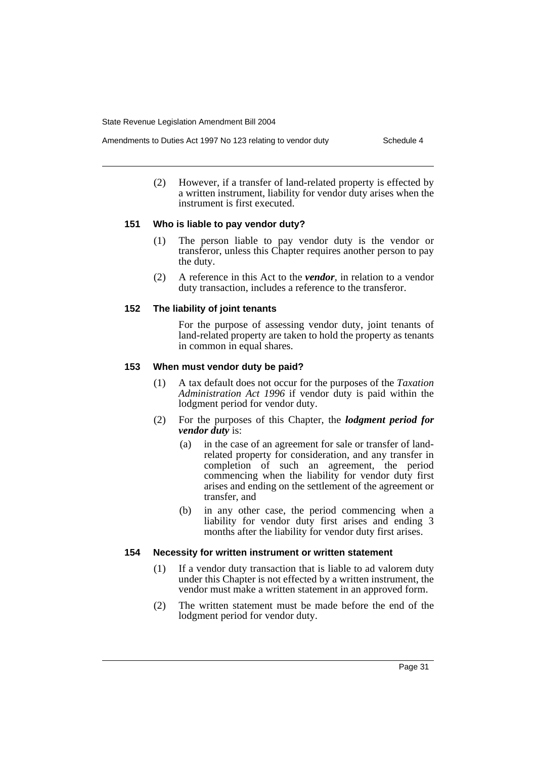- Amendments to Duties Act 1997 No 123 relating to vendor duty Schedule 4
	- (2) However, if a transfer of land-related property is effected by a written instrument, liability for vendor duty arises when the instrument is first executed.

## **151 Who is liable to pay vendor duty?**

- (1) The person liable to pay vendor duty is the vendor or transferor, unless this Chapter requires another person to pay the duty.
- (2) A reference in this Act to the *vendor*, in relation to a vendor duty transaction, includes a reference to the transferor.

## **152 The liability of joint tenants**

For the purpose of assessing vendor duty, joint tenants of land-related property are taken to hold the property as tenants in common in equal shares.

## **153 When must vendor duty be paid?**

- (1) A tax default does not occur for the purposes of the *Taxation Administration Act 1996* if vendor duty is paid within the lodgment period for vendor duty.
- (2) For the purposes of this Chapter, the *lodgment period for vendor duty* is:
	- (a) in the case of an agreement for sale or transfer of landrelated property for consideration, and any transfer in completion of such an agreement, the period commencing when the liability for vendor duty first arises and ending on the settlement of the agreement or transfer, and
	- (b) in any other case, the period commencing when a liability for vendor duty first arises and ending 3 months after the liability for vendor duty first arises.

### **154 Necessity for written instrument or written statement**

- (1) If a vendor duty transaction that is liable to ad valorem duty under this Chapter is not effected by a written instrument, the vendor must make a written statement in an approved form.
- (2) The written statement must be made before the end of the lodgment period for vendor duty.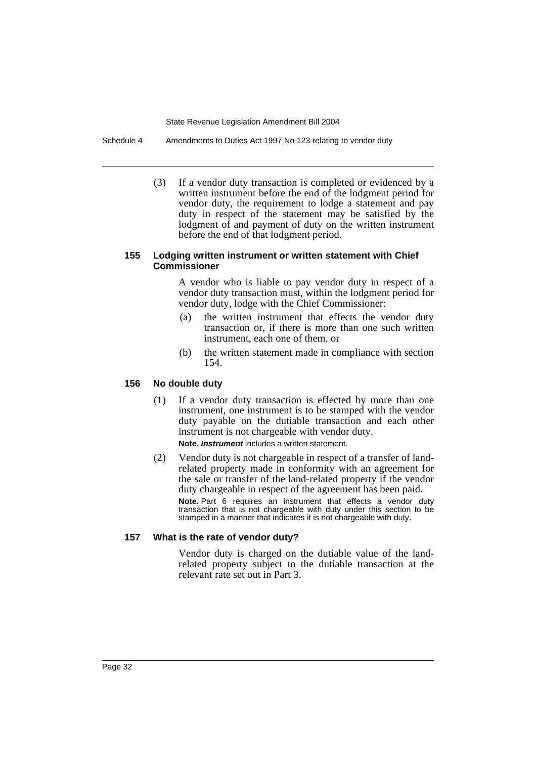Schedule 4 Amendments to Duties Act 1997 No 123 relating to vendor duty

(3) If a vendor duty transaction is completed or evidenced by a written instrument before the end of the lodgment period for vendor duty, the requirement to lodge a statement and pay duty in respect of the statement may be satisfied by the lodgment of and payment of duty on the written instrument before the end of that lodgment period.

### **155 Lodging written instrument or written statement with Chief Commissioner**

A vendor who is liable to pay vendor duty in respect of a vendor duty transaction must, within the lodgment period for vendor duty, lodge with the Chief Commissioner:

- (a) the written instrument that effects the vendor duty transaction or, if there is more than one such written instrument, each one of them, or
- (b) the written statement made in compliance with section 154.

## **156 No double duty**

- (1) If a vendor duty transaction is effected by more than one instrument, one instrument is to be stamped with the vendor duty payable on the dutiable transaction and each other instrument is not chargeable with vendor duty. **Note.** *Instrument* includes a written statement.
- (2) Vendor duty is not chargeable in respect of a transfer of landrelated property made in conformity with an agreement for the sale or transfer of the land-related property if the vendor duty chargeable in respect of the agreement has been paid. **Note.** Part 6 requires an instrument that effects a vendor duty

transaction that is not chargeable with duty under this section to be stamped in a manner that indicates it is not chargeable with duty.

## **157 What is the rate of vendor duty?**

Vendor duty is charged on the dutiable value of the landrelated property subject to the dutiable transaction at the relevant rate set out in Part 3.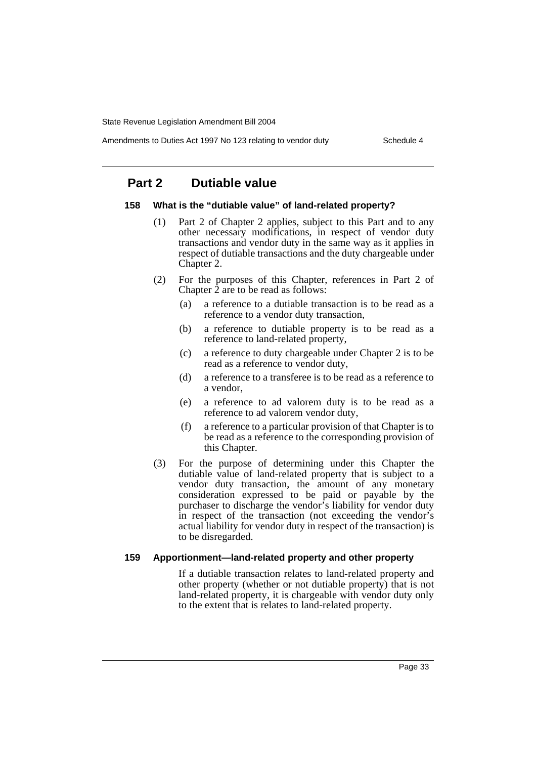Amendments to Duties Act 1997 No 123 relating to vendor duty Schedule 4

## **Part 2 Dutiable value**

#### **158 What is the "dutiable value" of land-related property?**

- (1) Part 2 of Chapter 2 applies, subject to this Part and to any other necessary modifications, in respect of vendor duty transactions and vendor duty in the same way as it applies in respect of dutiable transactions and the duty chargeable under Chapter 2.
- (2) For the purposes of this Chapter, references in Part 2 of Chapter  $\tilde{2}$  are to be read as follows:
	- (a) a reference to a dutiable transaction is to be read as a reference to a vendor duty transaction,
	- (b) a reference to dutiable property is to be read as a reference to land-related property,
	- (c) a reference to duty chargeable under Chapter 2 is to be read as a reference to vendor duty,
	- (d) a reference to a transferee is to be read as a reference to a vendor,
	- (e) a reference to ad valorem duty is to be read as a reference to ad valorem vendor duty,
	- (f) a reference to a particular provision of that Chapter is to be read as a reference to the corresponding provision of this Chapter.
- (3) For the purpose of determining under this Chapter the dutiable value of land-related property that is subject to a vendor duty transaction, the amount of any monetary consideration expressed to be paid or payable by the purchaser to discharge the vendor's liability for vendor duty in respect of the transaction (not exceeding the vendor's actual liability for vendor duty in respect of the transaction) is to be disregarded.

#### **159 Apportionment—land-related property and other property**

If a dutiable transaction relates to land-related property and other property (whether or not dutiable property) that is not land-related property, it is chargeable with vendor duty only to the extent that is relates to land-related property.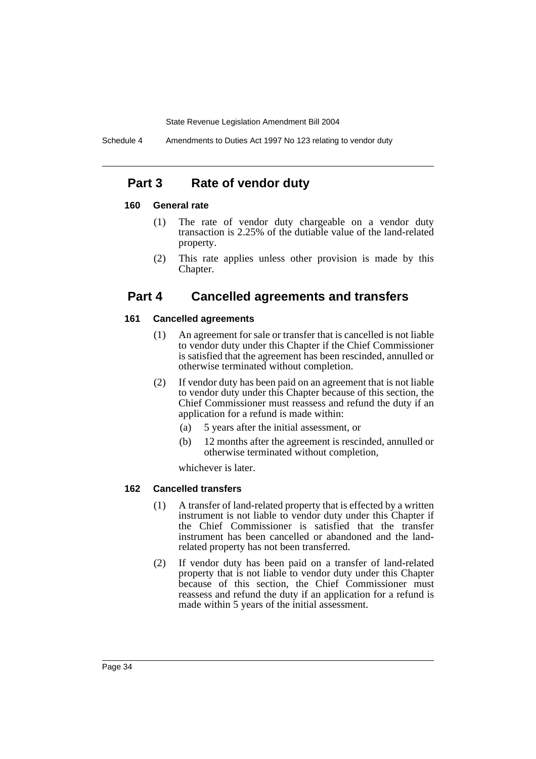## **Part 3 Rate of vendor duty**

### **160 General rate**

- (1) The rate of vendor duty chargeable on a vendor duty transaction is 2.25% of the dutiable value of the land-related property.
- (2) This rate applies unless other provision is made by this Chapter.

## **Part 4 Cancelled agreements and transfers**

## **161 Cancelled agreements**

- (1) An agreement for sale or transfer that is cancelled is not liable to vendor duty under this Chapter if the Chief Commissioner is satisfied that the agreement has been rescinded, annulled or otherwise terminated without completion.
- (2) If vendor duty has been paid on an agreement that is not liable to vendor duty under this Chapter because of this section, the Chief Commissioner must reassess and refund the duty if an application for a refund is made within:
	- (a) 5 years after the initial assessment, or
	- (b) 12 months after the agreement is rescinded, annulled or otherwise terminated without completion,

whichever is later.

## **162 Cancelled transfers**

- (1) A transfer of land-related property that is effected by a written instrument is not liable to vendor duty under this Chapter if the Chief Commissioner is satisfied that the transfer instrument has been cancelled or abandoned and the landrelated property has not been transferred.
- (2) If vendor duty has been paid on a transfer of land-related property that is not liable to vendor duty under this Chapter because of this section, the Chief Commissioner must reassess and refund the duty if an application for a refund is made within 5 years of the initial assessment.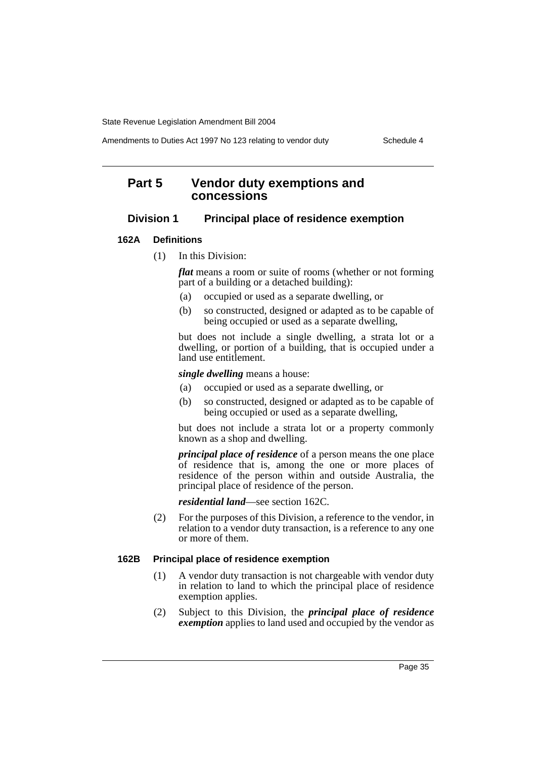Amendments to Duties Act 1997 No 123 relating to vendor duty Schedule 4

## **Part 5 Vendor duty exemptions and concessions**

## **Division 1 Principal place of residence exemption**

## **162A Definitions**

(1) In this Division:

*flat* means a room or suite of rooms (whether or not forming part of a building or a detached building):

- (a) occupied or used as a separate dwelling, or
- (b) so constructed, designed or adapted as to be capable of being occupied or used as a separate dwelling,

but does not include a single dwelling, a strata lot or a dwelling, or portion of a building, that is occupied under a land use entitlement.

*single dwelling* means a house:

- (a) occupied or used as a separate dwelling, or
- (b) so constructed, designed or adapted as to be capable of being occupied or used as a separate dwelling,

but does not include a strata lot or a property commonly known as a shop and dwelling.

*principal place of residence* of a person means the one place of residence that is, among the one or more places of residence of the person within and outside Australia, the principal place of residence of the person.

*residential land*—see section 162C.

(2) For the purposes of this Division, a reference to the vendor, in relation to a vendor duty transaction, is a reference to any one or more of them.

## **162B Principal place of residence exemption**

- (1) A vendor duty transaction is not chargeable with vendor duty in relation to land to which the principal place of residence exemption applies.
- (2) Subject to this Division, the *principal place of residence exemption* applies to land used and occupied by the vendor as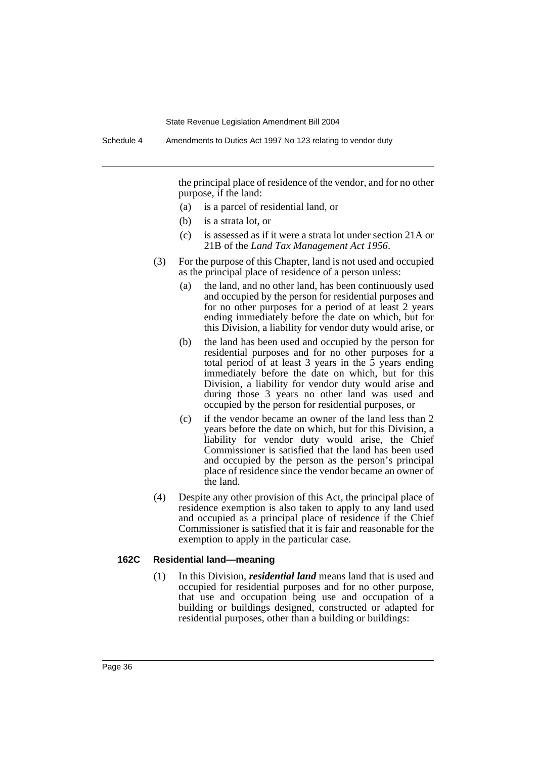the principal place of residence of the vendor, and for no other purpose, if the land:

- (a) is a parcel of residential land, or
- (b) is a strata lot, or
- (c) is assessed as if it were a strata lot under section 21A or 21B of the *Land Tax Management Act 1956*.
- (3) For the purpose of this Chapter, land is not used and occupied as the principal place of residence of a person unless:
	- (a) the land, and no other land, has been continuously used and occupied by the person for residential purposes and for no other purposes for a period of at least 2 years ending immediately before the date on which, but for this Division, a liability for vendor duty would arise, or
	- (b) the land has been used and occupied by the person for residential purposes and for no other purposes for a total period of at least 3 years in the 5 years ending immediately before the date on which, but for this Division, a liability for vendor duty would arise and during those 3 years no other land was used and occupied by the person for residential purposes, or
	- (c) if the vendor became an owner of the land less than 2 years before the date on which, but for this Division, a liability for vendor duty would arise, the Chief Commissioner is satisfied that the land has been used and occupied by the person as the person's principal place of residence since the vendor became an owner of the land.
- (4) Despite any other provision of this Act, the principal place of residence exemption is also taken to apply to any land used and occupied as a principal place of residence if the Chief Commissioner is satisfied that it is fair and reasonable for the exemption to apply in the particular case.

## **162C Residential land—meaning**

(1) In this Division, *residential land* means land that is used and occupied for residential purposes and for no other purpose, that use and occupation being use and occupation of a building or buildings designed, constructed or adapted for residential purposes, other than a building or buildings: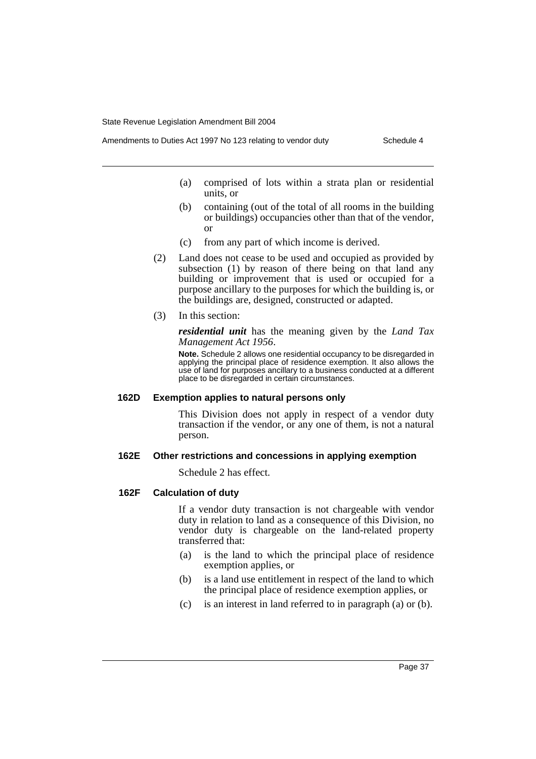- (a) comprised of lots within a strata plan or residential units, or
- (b) containing (out of the total of all rooms in the building or buildings) occupancies other than that of the vendor, or
- (c) from any part of which income is derived.
- (2) Land does not cease to be used and occupied as provided by subsection (1) by reason of there being on that land any building or improvement that is used or occupied for a purpose ancillary to the purposes for which the building is, or the buildings are, designed, constructed or adapted.
- (3) In this section:

*residential unit* has the meaning given by the *Land Tax Management Act 1956*.

**Note.** Schedule 2 allows one residential occupancy to be disregarded in applying the principal place of residence exemption. It also allows the use of land for purposes ancillary to a business conducted at a different place to be disregarded in certain circumstances.

#### **162D Exemption applies to natural persons only**

This Division does not apply in respect of a vendor duty transaction if the vendor, or any one of them, is not a natural person.

#### **162E Other restrictions and concessions in applying exemption**

Schedule 2 has effect.

### **162F Calculation of duty**

If a vendor duty transaction is not chargeable with vendor duty in relation to land as a consequence of this Division, no vendor duty is chargeable on the land-related property transferred that:

- (a) is the land to which the principal place of residence exemption applies, or
- (b) is a land use entitlement in respect of the land to which the principal place of residence exemption applies, or
- (c) is an interest in land referred to in paragraph (a) or (b).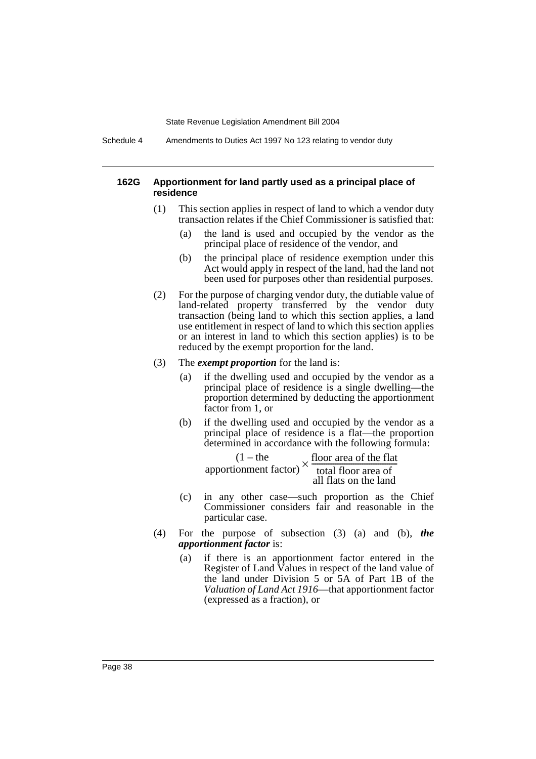Schedule 4 Amendments to Duties Act 1997 No 123 relating to vendor duty

#### **162G Apportionment for land partly used as a principal place of residence**

- (1) This section applies in respect of land to which a vendor duty transaction relates if the Chief Commissioner is satisfied that:
	- (a) the land is used and occupied by the vendor as the principal place of residence of the vendor, and
	- (b) the principal place of residence exemption under this Act would apply in respect of the land, had the land not been used for purposes other than residential purposes.
- (2) For the purpose of charging vendor duty, the dutiable value of land-related property transferred by the vendor duty transaction (being land to which this section applies, a land use entitlement in respect of land to which this section applies or an interest in land to which this section applies) is to be reduced by the exempt proportion for the land.
- (3) The *exempt proportion* for the land is:
	- (a) if the dwelling used and occupied by the vendor as a principal place of residence is a single dwelling—the proportion determined by deducting the apportionment factor from 1, or
	- (b) if the dwelling used and occupied by the vendor as a principal place of residence is a flat—the proportion determined in accordance with the following formula:

 $(1 - the$ apportionment factor) floor area of the flat  $\times \frac{1001 \text{ area of the flat}}{1001 \text{ floor area of}}$ all flats on the land

- (c) in any other case—such proportion as the Chief Commissioner considers fair and reasonable in the particular case.
- (4) For the purpose of subsection (3) (a) and (b), *the apportionment factor* is:
	- (a) if there is an apportionment factor entered in the Register of Land Values in respect of the land value of the land under Division 5 or 5A of Part 1B of the *Valuation of Land Act 1916*—that apportionment factor (expressed as a fraction), or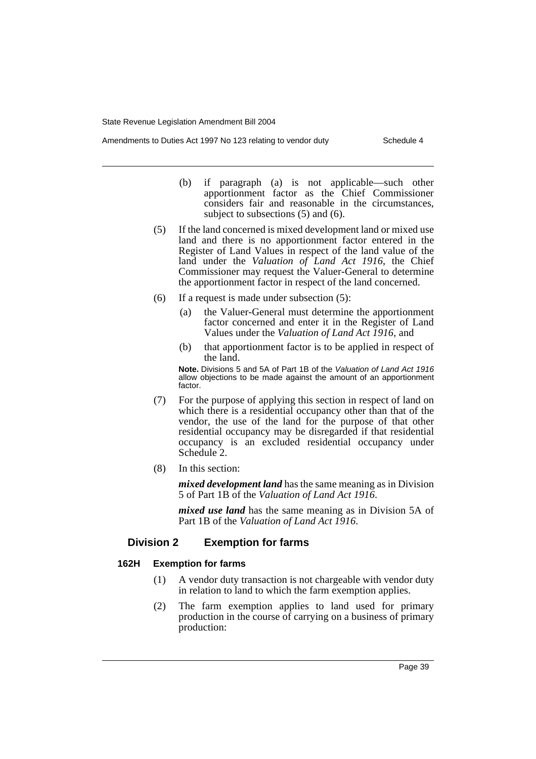- Amendments to Duties Act 1997 No 123 relating to vendor duty Schedule 4
	- (b) if paragraph (a) is not applicable—such other apportionment factor as the Chief Commissioner considers fair and reasonable in the circumstances, subject to subsections (5) and (6).
	- (5) If the land concerned is mixed development land or mixed use land and there is no apportionment factor entered in the Register of Land Values in respect of the land value of the land under the *Valuation of Land Act 1916*, the Chief Commissioner may request the Valuer-General to determine the apportionment factor in respect of the land concerned.
	- (6) If a request is made under subsection (5):
		- (a) the Valuer-General must determine the apportionment factor concerned and enter it in the Register of Land Values under the *Valuation of Land Act 1916*, and
		- (b) that apportionment factor is to be applied in respect of the land.

**Note.** Divisions 5 and 5A of Part 1B of the *Valuation of Land Act 1916* allow objections to be made against the amount of an apportionment factor.

- (7) For the purpose of applying this section in respect of land on which there is a residential occupancy other than that of the vendor, the use of the land for the purpose of that other residential occupancy may be disregarded if that residential occupancy is an excluded residential occupancy under Schedule 2.
- (8) In this section:

*mixed development land* has the same meaning as in Division 5 of Part 1B of the *Valuation of Land Act 1916*.

*mixed use land* has the same meaning as in Division 5A of Part 1B of the *Valuation of Land Act 1916*.

## **Division 2 Exemption for farms**

## **162H Exemption for farms**

- (1) A vendor duty transaction is not chargeable with vendor duty in relation to land to which the farm exemption applies.
- (2) The farm exemption applies to land used for primary production in the course of carrying on a business of primary production: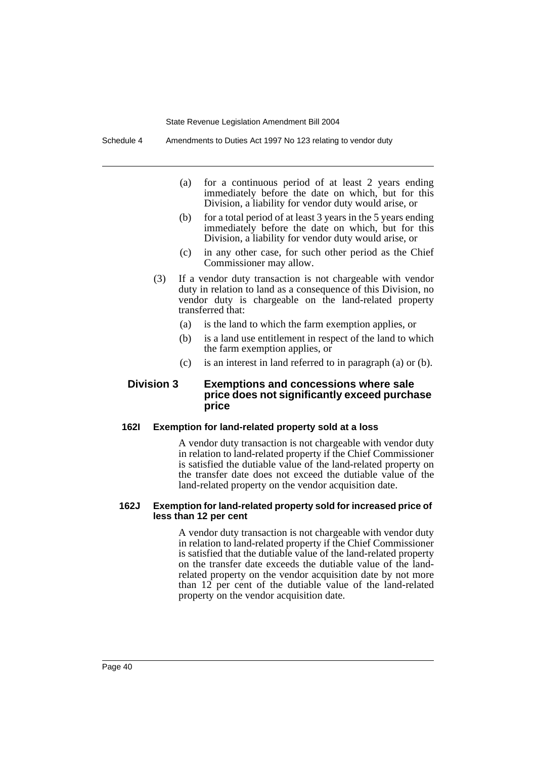- (a) for a continuous period of at least 2 years ending immediately before the date on which, but for this Division, a liability for vendor duty would arise, or
- (b) for a total period of at least 3 years in the 5 years ending immediately before the date on which, but for this Division, a liability for vendor duty would arise, or
- (c) in any other case, for such other period as the Chief Commissioner may allow.
- (3) If a vendor duty transaction is not chargeable with vendor duty in relation to land as a consequence of this Division, no vendor duty is chargeable on the land-related property transferred that:
	- (a) is the land to which the farm exemption applies, or
	- (b) is a land use entitlement in respect of the land to which the farm exemption applies, or
	- (c) is an interest in land referred to in paragraph (a) or (b).

## **Division 3 Exemptions and concessions where sale price does not significantly exceed purchase price**

## **162I Exemption for land-related property sold at a loss**

A vendor duty transaction is not chargeable with vendor duty in relation to land-related property if the Chief Commissioner is satisfied the dutiable value of the land-related property on the transfer date does not exceed the dutiable value of the land-related property on the vendor acquisition date.

#### **162J Exemption for land-related property sold for increased price of less than 12 per cent**

A vendor duty transaction is not chargeable with vendor duty in relation to land-related property if the Chief Commissioner is satisfied that the dutiable value of the land-related property on the transfer date exceeds the dutiable value of the landrelated property on the vendor acquisition date by not more than 12 per cent of the dutiable value of the land-related property on the vendor acquisition date.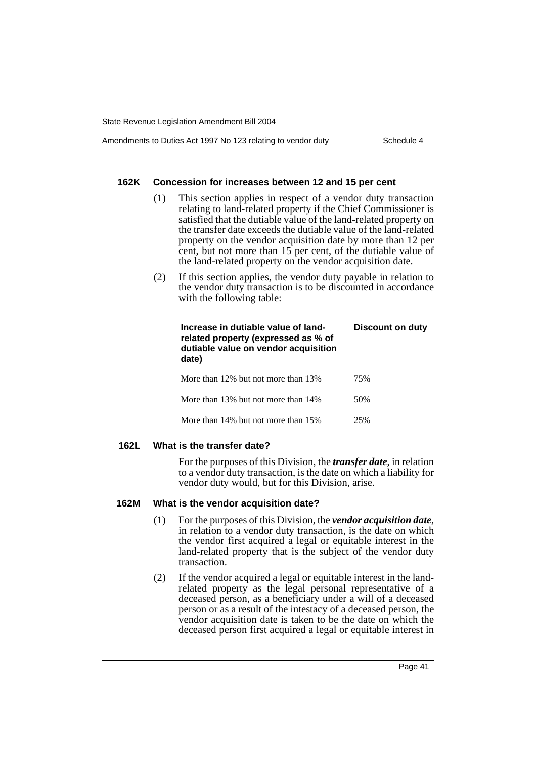## Amendments to Duties Act 1997 No 123 relating to vendor duty Schedule 4

#### **162K Concession for increases between 12 and 15 per cent**

- (1) This section applies in respect of a vendor duty transaction relating to land-related property if the Chief Commissioner is satisfied that the dutiable value of the land-related property on the transfer date exceeds the dutiable value of the land-related property on the vendor acquisition date by more than 12 per cent, but not more than 15 per cent, of the dutiable value of the land-related property on the vendor acquisition date.
- (2) If this section applies, the vendor duty payable in relation to the vendor duty transaction is to be discounted in accordance with the following table:

| Increase in dutiable value of land-<br>related property (expressed as % of<br>dutiable value on vendor acquisition<br>date) | Discount on duty |
|-----------------------------------------------------------------------------------------------------------------------------|------------------|
| More than 12% but not more than 13%                                                                                         | 75%              |
| More than 13% but not more than 14%                                                                                         | 50%              |
| More than 14% but not more than 15%                                                                                         | 25%              |

## **162L What is the transfer date?**

For the purposes of this Division, the *transfer date*, in relation to a vendor duty transaction, is the date on which a liability for vendor duty would, but for this Division, arise.

## **162M What is the vendor acquisition date?**

- (1) For the purposes of this Division, the *vendor acquisition date*, in relation to a vendor duty transaction, is the date on which the vendor first acquired a legal or equitable interest in the land-related property that is the subject of the vendor duty transaction.
- (2) If the vendor acquired a legal or equitable interest in the landrelated property as the legal personal representative of a deceased person, as a beneficiary under a will of a deceased person or as a result of the intestacy of a deceased person, the vendor acquisition date is taken to be the date on which the deceased person first acquired a legal or equitable interest in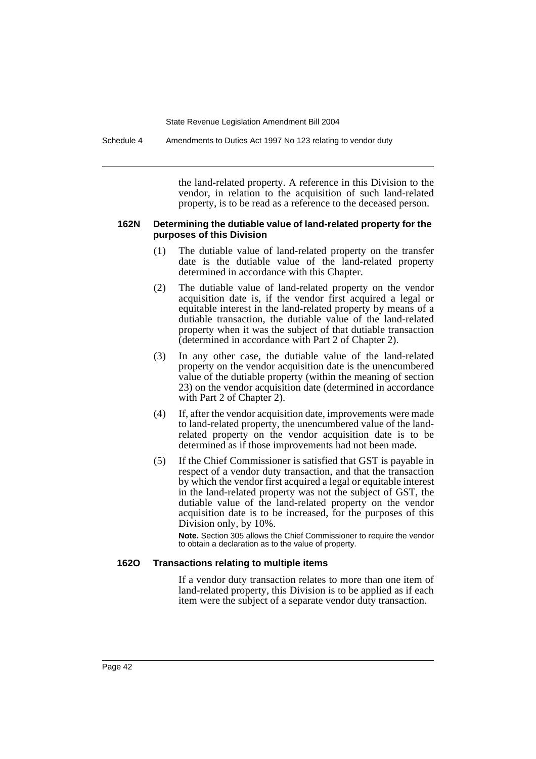Schedule 4 Amendments to Duties Act 1997 No 123 relating to vendor duty

the land-related property. A reference in this Division to the vendor, in relation to the acquisition of such land-related property, is to be read as a reference to the deceased person.

#### **162N Determining the dutiable value of land-related property for the purposes of this Division**

- (1) The dutiable value of land-related property on the transfer date is the dutiable value of the land-related property determined in accordance with this Chapter.
- (2) The dutiable value of land-related property on the vendor acquisition date is, if the vendor first acquired a legal or equitable interest in the land-related property by means of a dutiable transaction, the dutiable value of the land-related property when it was the subject of that dutiable transaction (determined in accordance with Part 2 of Chapter 2).
- (3) In any other case, the dutiable value of the land-related property on the vendor acquisition date is the unencumbered value of the dutiable property (within the meaning of section 23) on the vendor acquisition date (determined in accordance with Part 2 of Chapter 2).
- (4) If, after the vendor acquisition date, improvements were made to land-related property, the unencumbered value of the landrelated property on the vendor acquisition date is to be determined as if those improvements had not been made.
- (5) If the Chief Commissioner is satisfied that GST is payable in respect of a vendor duty transaction, and that the transaction by which the vendor first acquired a legal or equitable interest in the land-related property was not the subject of GST, the dutiable value of the land-related property on the vendor acquisition date is to be increased, for the purposes of this Division only, by 10%.

**Note.** Section 305 allows the Chief Commissioner to require the vendor to obtain a declaration as to the value of property.

## **162O Transactions relating to multiple items**

If a vendor duty transaction relates to more than one item of land-related property, this Division is to be applied as if each item were the subject of a separate vendor duty transaction.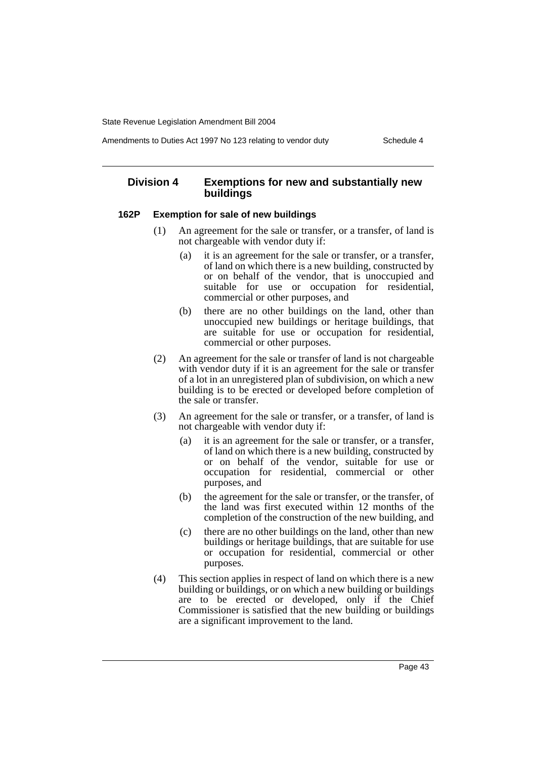#### Amendments to Duties Act 1997 No 123 relating to vendor duty Schedule 4

## **Division 4 Exemptions for new and substantially new buildings**

## **162P Exemption for sale of new buildings**

- (1) An agreement for the sale or transfer, or a transfer, of land is not chargeable with vendor duty if:
	- (a) it is an agreement for the sale or transfer, or a transfer, of land on which there is a new building, constructed by or on behalf of the vendor, that is unoccupied and suitable for use or occupation for residential, commercial or other purposes, and
	- (b) there are no other buildings on the land, other than unoccupied new buildings or heritage buildings, that are suitable for use or occupation for residential, commercial or other purposes.
- (2) An agreement for the sale or transfer of land is not chargeable with vendor duty if it is an agreement for the sale or transfer of a lot in an unregistered plan of subdivision, on which a new building is to be erected or developed before completion of the sale or transfer.
- (3) An agreement for the sale or transfer, or a transfer, of land is not chargeable with vendor duty if:
	- (a) it is an agreement for the sale or transfer, or a transfer, of land on which there is a new building, constructed by or on behalf of the vendor, suitable for use or occupation for residential, commercial or other purposes, and
	- (b) the agreement for the sale or transfer, or the transfer, of the land was first executed within 12 months of the completion of the construction of the new building, and
	- (c) there are no other buildings on the land, other than new buildings or heritage buildings, that are suitable for use or occupation for residential, commercial or other purposes.
- (4) This section applies in respect of land on which there is a new building or buildings, or on which a new building or buildings are to be erected or developed, only if the Chief Commissioner is satisfied that the new building or buildings are a significant improvement to the land.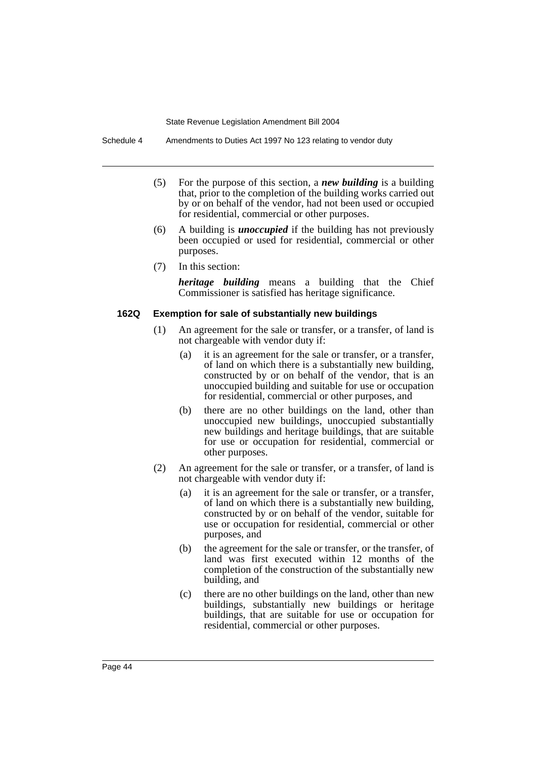Schedule 4 Amendments to Duties Act 1997 No 123 relating to vendor duty

- (5) For the purpose of this section, a *new building* is a building that, prior to the completion of the building works carried out by or on behalf of the vendor, had not been used or occupied for residential, commercial or other purposes.
- (6) A building is *unoccupied* if the building has not previously been occupied or used for residential, commercial or other purposes.
- (7) In this section:

*heritage building* means a building that the Chief Commissioner is satisfied has heritage significance.

### **162Q Exemption for sale of substantially new buildings**

- (1) An agreement for the sale or transfer, or a transfer, of land is not chargeable with vendor duty if:
	- (a) it is an agreement for the sale or transfer, or a transfer, of land on which there is a substantially new building, constructed by or on behalf of the vendor, that is an unoccupied building and suitable for use or occupation for residential, commercial or other purposes, and
	- (b) there are no other buildings on the land, other than unoccupied new buildings, unoccupied substantially new buildings and heritage buildings, that are suitable for use or occupation for residential, commercial or other purposes.
- (2) An agreement for the sale or transfer, or a transfer, of land is not chargeable with vendor duty if:
	- (a) it is an agreement for the sale or transfer, or a transfer, of land on which there is a substantially new building, constructed by or on behalf of the vendor, suitable for use or occupation for residential, commercial or other purposes, and
	- (b) the agreement for the sale or transfer, or the transfer, of land was first executed within 12 months of the completion of the construction of the substantially new building, and
	- (c) there are no other buildings on the land, other than new buildings, substantially new buildings or heritage buildings, that are suitable for use or occupation for residential, commercial or other purposes.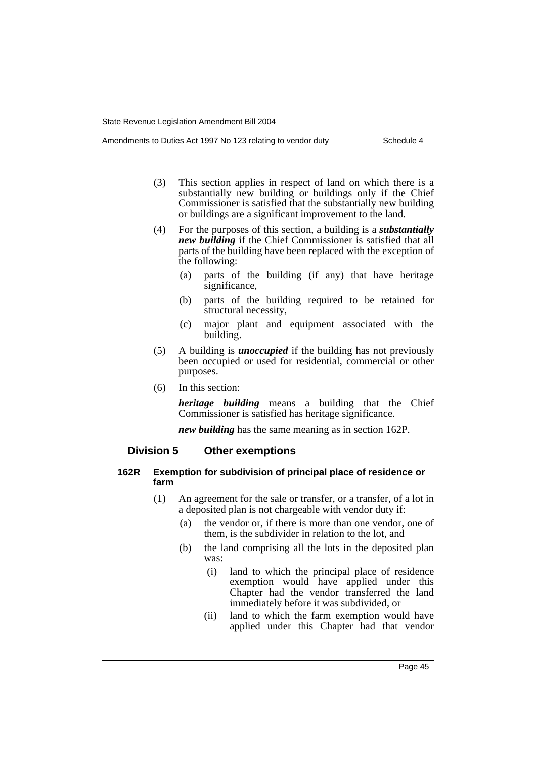- Amendments to Duties Act 1997 No 123 relating to vendor duty Schedule 4
	- (3) This section applies in respect of land on which there is a substantially new building or buildings only if the Chief Commissioner is satisfied that the substantially new building or buildings are a significant improvement to the land.
	- (4) For the purposes of this section, a building is a *substantially new building* if the Chief Commissioner is satisfied that all parts of the building have been replaced with the exception of the following:
		- (a) parts of the building (if any) that have heritage significance,
		- (b) parts of the building required to be retained for structural necessity,
		- (c) major plant and equipment associated with the building.
	- (5) A building is *unoccupied* if the building has not previously been occupied or used for residential, commercial or other purposes.
	- (6) In this section:

*heritage building* means a building that the Chief Commissioner is satisfied has heritage significance.

*new building* has the same meaning as in section 162P.

## **Division 5 Other exemptions**

## **162R Exemption for subdivision of principal place of residence or farm**

- (1) An agreement for the sale or transfer, or a transfer, of a lot in a deposited plan is not chargeable with vendor duty if:
	- (a) the vendor or, if there is more than one vendor, one of them, is the subdivider in relation to the lot, and
	- (b) the land comprising all the lots in the deposited plan was:
		- (i) land to which the principal place of residence exemption would have applied under this Chapter had the vendor transferred the land immediately before it was subdivided, or
		- (ii) land to which the farm exemption would have applied under this Chapter had that vendor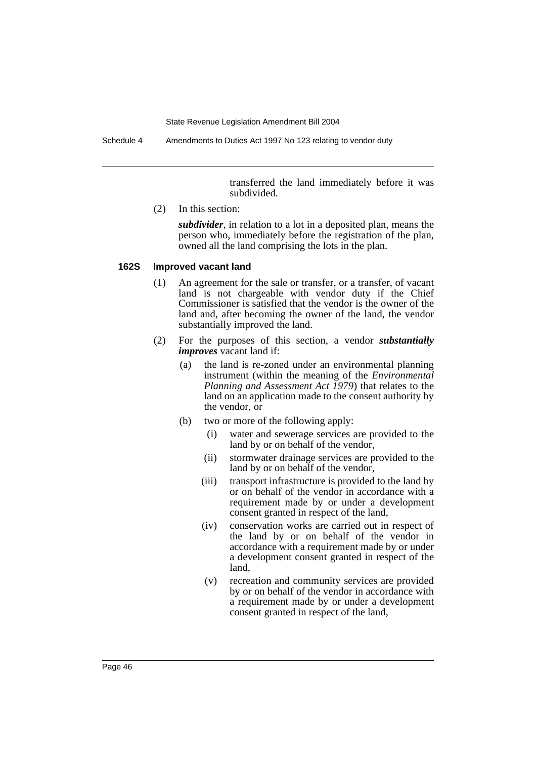Schedule 4 Amendments to Duties Act 1997 No 123 relating to vendor duty

transferred the land immediately before it was subdivided.

(2) In this section:

*subdivider*, in relation to a lot in a deposited plan, means the person who, immediately before the registration of the plan, owned all the land comprising the lots in the plan.

#### **162S Improved vacant land**

- (1) An agreement for the sale or transfer, or a transfer, of vacant land is not chargeable with vendor duty if the Chief Commissioner is satisfied that the vendor is the owner of the land and, after becoming the owner of the land, the vendor substantially improved the land.
- (2) For the purposes of this section, a vendor *substantially improves* vacant land if:
	- (a) the land is re-zoned under an environmental planning instrument (within the meaning of the *Environmental Planning and Assessment Act 1979*) that relates to the land on an application made to the consent authority by the vendor, or
	- (b) two or more of the following apply:
		- (i) water and sewerage services are provided to the land by or on behalf of the vendor,
		- (ii) stormwater drainage services are provided to the land by or on behalf of the vendor,
		- (iii) transport infrastructure is provided to the land by or on behalf of the vendor in accordance with a requirement made by or under a development consent granted in respect of the land,
		- (iv) conservation works are carried out in respect of the land by or on behalf of the vendor in accordance with a requirement made by or under a development consent granted in respect of the land,
		- (v) recreation and community services are provided by or on behalf of the vendor in accordance with a requirement made by or under a development consent granted in respect of the land,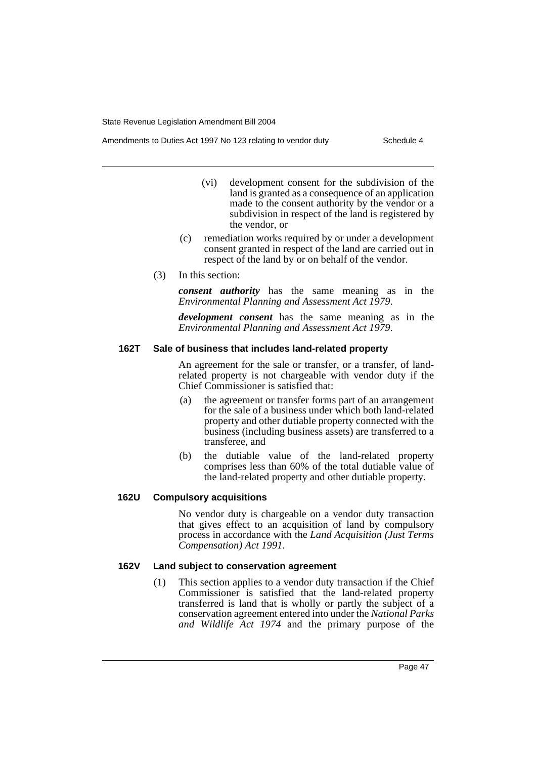- (vi) development consent for the subdivision of the land is granted as a consequence of an application made to the consent authority by the vendor or a subdivision in respect of the land is registered by the vendor, or
- (c) remediation works required by or under a development consent granted in respect of the land are carried out in respect of the land by or on behalf of the vendor.
- (3) In this section:

*consent authority* has the same meaning as in the *Environmental Planning and Assessment Act 1979*.

*development consent* has the same meaning as in the *Environmental Planning and Assessment Act 1979*.

## **162T Sale of business that includes land-related property**

An agreement for the sale or transfer, or a transfer, of landrelated property is not chargeable with vendor duty if the Chief Commissioner is satisfied that:

- (a) the agreement or transfer forms part of an arrangement for the sale of a business under which both land-related property and other dutiable property connected with the business (including business assets) are transferred to a transferee, and
- (b) the dutiable value of the land-related property comprises less than 60% of the total dutiable value of the land-related property and other dutiable property.

## **162U Compulsory acquisitions**

No vendor duty is chargeable on a vendor duty transaction that gives effect to an acquisition of land by compulsory process in accordance with the *Land Acquisition (Just Terms Compensation) Act 1991*.

## **162V Land subject to conservation agreement**

(1) This section applies to a vendor duty transaction if the Chief Commissioner is satisfied that the land-related property transferred is land that is wholly or partly the subject of a conservation agreement entered into under the *National Parks and Wildlife Act 1974* and the primary purpose of the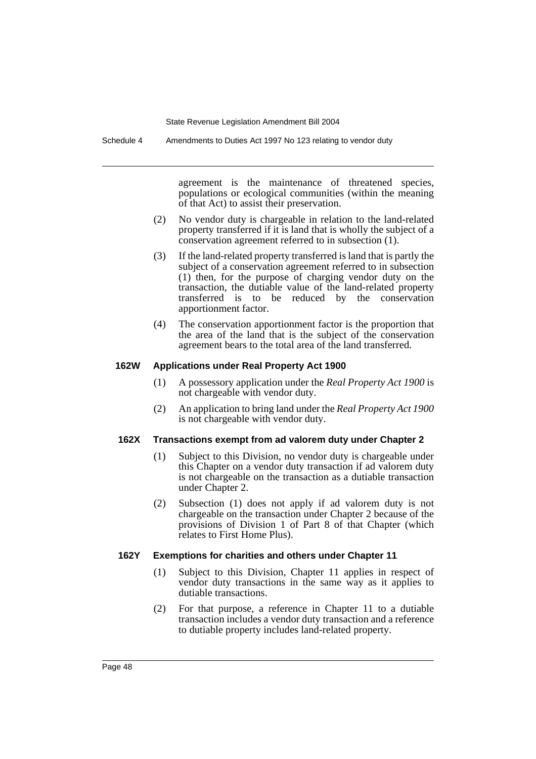Schedule 4 Amendments to Duties Act 1997 No 123 relating to vendor duty

agreement is the maintenance of threatened species, populations or ecological communities (within the meaning of that Act) to assist their preservation.

- (2) No vendor duty is chargeable in relation to the land-related property transferred if it is land that is wholly the subject of a conservation agreement referred to in subsection (1).
- (3) If the land-related property transferred is land that is partly the subject of a conservation agreement referred to in subsection (1) then, for the purpose of charging vendor duty on the transaction, the dutiable value of the land-related property transferred is to be reduced by the conservation apportionment factor.
- (4) The conservation apportionment factor is the proportion that the area of the land that is the subject of the conservation agreement bears to the total area of the land transferred.

### **162W Applications under Real Property Act 1900**

- (1) A possessory application under the *Real Property Act 1900* is not chargeable with vendor duty.
- (2) An application to bring land under the *Real Property Act 1900* is not chargeable with vendor duty.

#### **162X Transactions exempt from ad valorem duty under Chapter 2**

- (1) Subject to this Division, no vendor duty is chargeable under this Chapter on a vendor duty transaction if ad valorem duty is not chargeable on the transaction as a dutiable transaction under Chapter 2.
- (2) Subsection (1) does not apply if ad valorem duty is not chargeable on the transaction under Chapter 2 because of the provisions of Division 1 of Part 8 of that Chapter (which relates to First Home Plus).

### **162Y Exemptions for charities and others under Chapter 11**

- (1) Subject to this Division, Chapter 11 applies in respect of vendor duty transactions in the same way as it applies to dutiable transactions.
- (2) For that purpose, a reference in Chapter 11 to a dutiable transaction includes a vendor duty transaction and a reference to dutiable property includes land-related property.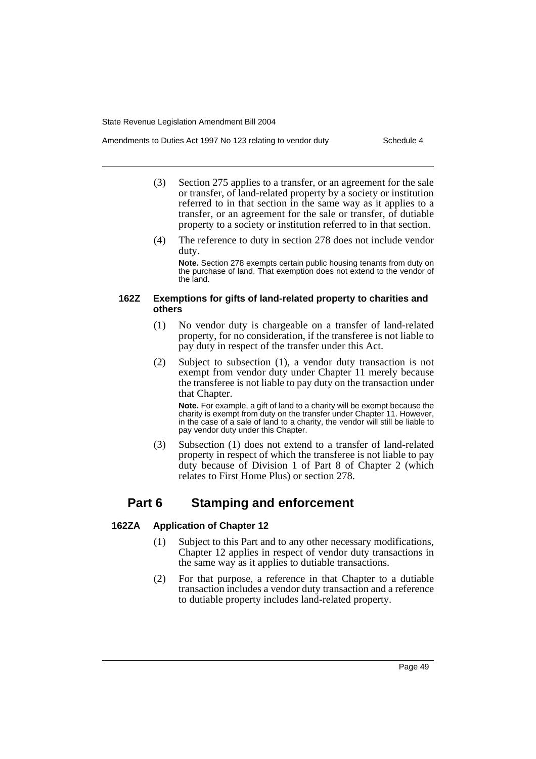- Amendments to Duties Act 1997 No 123 relating to vendor duty Schedule 4
	- (3) Section 275 applies to a transfer, or an agreement for the sale or transfer, of land-related property by a society or institution referred to in that section in the same way as it applies to a transfer, or an agreement for the sale or transfer, of dutiable property to a society or institution referred to in that section.
	- (4) The reference to duty in section 278 does not include vendor duty.

**Note.** Section 278 exempts certain public housing tenants from duty on the purchase of land. That exemption does not extend to the vendor of the land.

## **162Z Exemptions for gifts of land-related property to charities and others**

- (1) No vendor duty is chargeable on a transfer of land-related property, for no consideration, if the transferee is not liable to pay duty in respect of the transfer under this Act.
- (2) Subject to subsection (1), a vendor duty transaction is not exempt from vendor duty under Chapter 11 merely because the transferee is not liable to pay duty on the transaction under that Chapter.

**Note.** For example, a gift of land to a charity will be exempt because the charity is exempt from duty on the transfer under Chapter 11. However, in the case of a sale of land to a charity, the vendor will still be liable to pay vendor duty under this Chapter.

(3) Subsection (1) does not extend to a transfer of land-related property in respect of which the transferee is not liable to pay duty because of Division 1 of Part 8 of Chapter 2 (which relates to First Home Plus) or section 278.

## **Part 6 Stamping and enforcement**

## **162ZA Application of Chapter 12**

- (1) Subject to this Part and to any other necessary modifications, Chapter 12 applies in respect of vendor duty transactions in the same way as it applies to dutiable transactions.
- (2) For that purpose, a reference in that Chapter to a dutiable transaction includes a vendor duty transaction and a reference to dutiable property includes land-related property.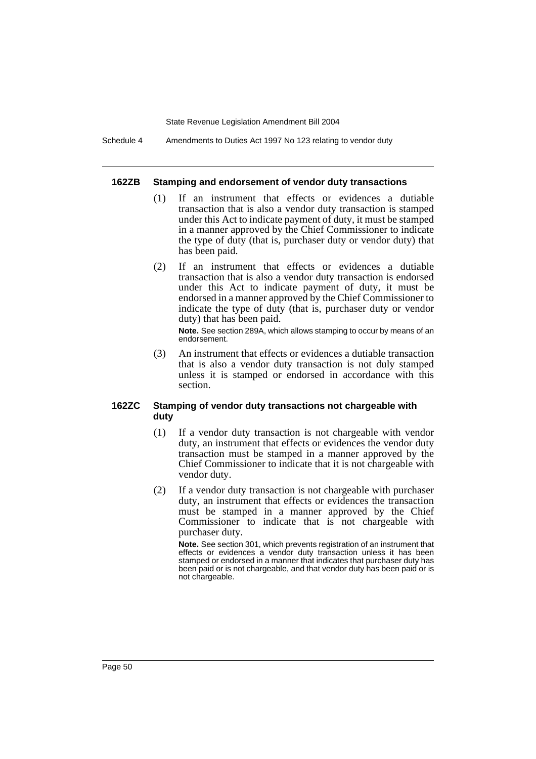Schedule 4 Amendments to Duties Act 1997 No 123 relating to vendor duty

#### **162ZB Stamping and endorsement of vendor duty transactions**

- (1) If an instrument that effects or evidences a dutiable transaction that is also a vendor duty transaction is stamped under this Act to indicate payment of duty, it must be stamped in a manner approved by the Chief Commissioner to indicate the type of duty (that is, purchaser duty or vendor duty) that has been paid.
- (2) If an instrument that effects or evidences a dutiable transaction that is also a vendor duty transaction is endorsed under this Act to indicate payment of duty, it must be endorsed in a manner approved by the Chief Commissioner to indicate the type of duty (that is, purchaser duty or vendor duty) that has been paid.

**Note.** See section 289A, which allows stamping to occur by means of an endorsement.

(3) An instrument that effects or evidences a dutiable transaction that is also a vendor duty transaction is not duly stamped unless it is stamped or endorsed in accordance with this section.

## **162ZC Stamping of vendor duty transactions not chargeable with duty**

- (1) If a vendor duty transaction is not chargeable with vendor duty, an instrument that effects or evidences the vendor duty transaction must be stamped in a manner approved by the Chief Commissioner to indicate that it is not chargeable with vendor duty.
- (2) If a vendor duty transaction is not chargeable with purchaser duty, an instrument that effects or evidences the transaction must be stamped in a manner approved by the Chief Commissioner to indicate that is not chargeable with purchaser duty.

**Note.** See section 301, which prevents registration of an instrument that effects or evidences a vendor duty transaction unless it has been stamped or endorsed in a manner that indicates that purchaser duty has been paid or is not chargeable, and that vendor duty has been paid or is not chargeable.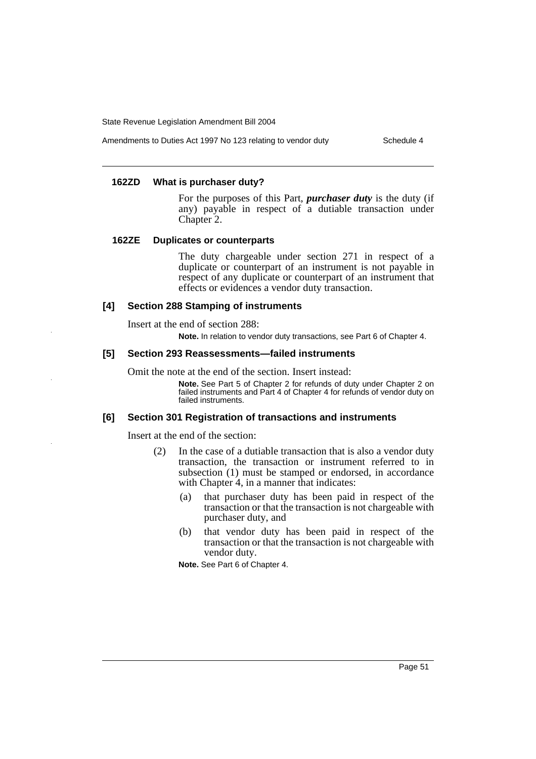Amendments to Duties Act 1997 No 123 relating to vendor duty Schedule 4

# **162ZD What is purchaser duty?**

For the purposes of this Part, *purchaser duty* is the duty (if any) payable in respect of a dutiable transaction under Chapter 2.

## **162ZE Duplicates or counterparts**

The duty chargeable under section 271 in respect of a duplicate or counterpart of an instrument is not payable in respect of any duplicate or counterpart of an instrument that effects or evidences a vendor duty transaction.

## **[4] Section 288 Stamping of instruments**

Insert at the end of section 288:

**Note.** In relation to vendor duty transactions, see Part 6 of Chapter 4.

### **[5] Section 293 Reassessments—failed instruments**

Omit the note at the end of the section. Insert instead:

**Note.** See Part 5 of Chapter 2 for refunds of duty under Chapter 2 on failed instruments and Part 4 of Chapter 4 for refunds of vendor duty on failed instruments.

#### **[6] Section 301 Registration of transactions and instruments**

Insert at the end of the section:

- (2) In the case of a dutiable transaction that is also a vendor duty transaction, the transaction or instrument referred to in subsection (1) must be stamped or endorsed, in accordance with Chapter 4, in a manner that indicates:
	- (a) that purchaser duty has been paid in respect of the transaction or that the transaction is not chargeable with purchaser duty, and
	- (b) that vendor duty has been paid in respect of the transaction or that the transaction is not chargeable with vendor duty.

**Note.** See Part 6 of Chapter 4.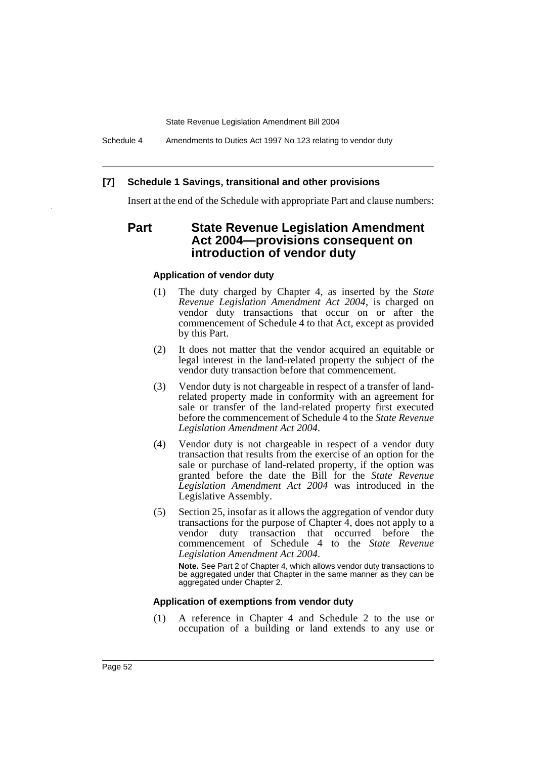Schedule 4 Amendments to Duties Act 1997 No 123 relating to vendor duty

#### **[7] Schedule 1 Savings, transitional and other provisions**

Insert at the end of the Schedule with appropriate Part and clause numbers:

## **Part State Revenue Legislation Amendment Act 2004—provisions consequent on introduction of vendor duty**

#### **Application of vendor duty**

- (1) The duty charged by Chapter 4, as inserted by the *State Revenue Legislation Amendment Act 2004*, is charged on vendor duty transactions that occur on or after the commencement of Schedule 4 to that Act, except as provided by this Part.
- (2) It does not matter that the vendor acquired an equitable or legal interest in the land-related property the subject of the vendor duty transaction before that commencement.
- (3) Vendor duty is not chargeable in respect of a transfer of landrelated property made in conformity with an agreement for sale or transfer of the land-related property first executed before the commencement of Schedule 4 to the *State Revenue Legislation Amendment Act 2004*.
- (4) Vendor duty is not chargeable in respect of a vendor duty transaction that results from the exercise of an option for the sale or purchase of land-related property, if the option was granted before the date the Bill for the *State Revenue Legislation Amendment Act 2004* was introduced in the Legislative Assembly.
- (5) Section 25, insofar as it allows the aggregation of vendor duty transactions for the purpose of Chapter 4, does not apply to a vendor duty transaction that occurred before the commencement of Schedule 4 to the *State Revenue Legislation Amendment Act 2004*.

**Note.** See Part 2 of Chapter 4, which allows vendor duty transactions to be aggregated under that Chapter in the same manner as they can be aggregated under Chapter 2.

#### **Application of exemptions from vendor duty**

(1) A reference in Chapter 4 and Schedule 2 to the use or occupation of a building or land extends to any use or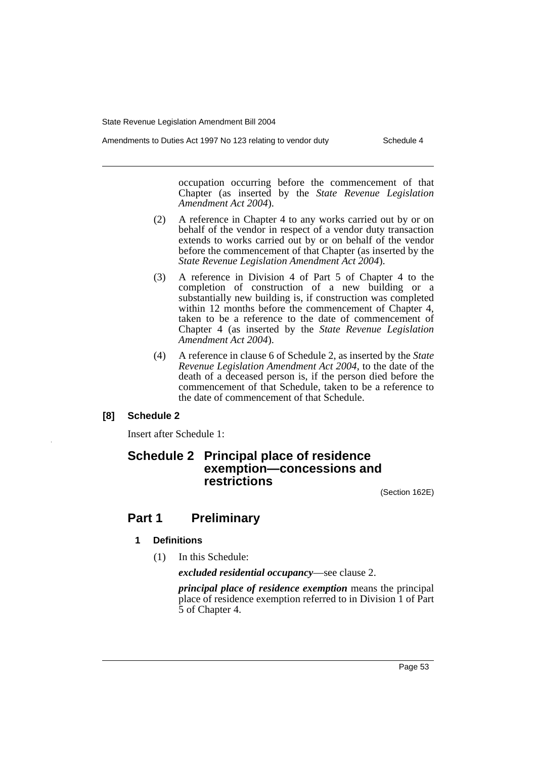occupation occurring before the commencement of that Chapter (as inserted by the *State Revenue Legislation Amendment Act 2004*).

- (2) A reference in Chapter 4 to any works carried out by or on behalf of the vendor in respect of a vendor duty transaction extends to works carried out by or on behalf of the vendor before the commencement of that Chapter (as inserted by the *State Revenue Legislation Amendment Act 2004*).
- (3) A reference in Division 4 of Part 5 of Chapter 4 to the completion of construction of a new building or a substantially new building is, if construction was completed within 12 months before the commencement of Chapter 4, taken to be a reference to the date of commencement of Chapter 4 (as inserted by the *State Revenue Legislation Amendment Act 2004*).
- (4) A reference in clause 6 of Schedule 2, as inserted by the *State Revenue Legislation Amendment Act 2004*, to the date of the death of a deceased person is, if the person died before the commencement of that Schedule, taken to be a reference to the date of commencement of that Schedule.

## **[8] Schedule 2**

Insert after Schedule 1:

## **Schedule 2 Principal place of residence exemption—concessions and restrictions**

(Section 162E)

## **Part 1 Preliminary**

## **1 Definitions**

(1) In this Schedule:

*excluded residential occupancy*—see clause 2.

*principal place of residence exemption* means the principal place of residence exemption referred to in Division 1 of Part 5 of Chapter 4.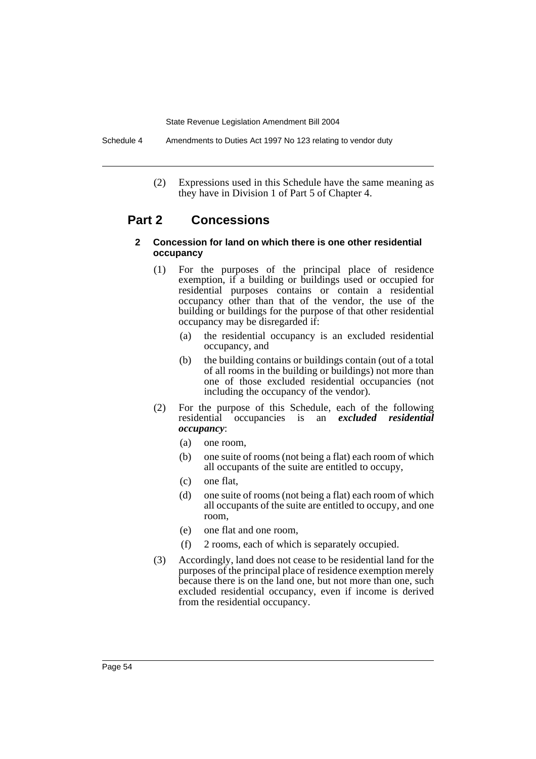Schedule 4 Amendments to Duties Act 1997 No 123 relating to vendor duty

(2) Expressions used in this Schedule have the same meaning as they have in Division 1 of Part 5 of Chapter 4.

## **Part 2 Concessions**

### **2 Concession for land on which there is one other residential occupancy**

- (1) For the purposes of the principal place of residence exemption, if a building or buildings used or occupied for residential purposes contains or contain a residential occupancy other than that of the vendor, the use of the building or buildings for the purpose of that other residential occupancy may be disregarded if:
	- (a) the residential occupancy is an excluded residential occupancy, and
	- (b) the building contains or buildings contain (out of a total of all rooms in the building or buildings) not more than one of those excluded residential occupancies (not including the occupancy of the vendor).
- (2) For the purpose of this Schedule, each of the following residential occupancies is an *excluded residential occupancy*:
	- (a) one room,
	- (b) one suite of rooms (not being a flat) each room of which all occupants of the suite are entitled to occupy,
	- (c) one flat,
	- (d) one suite of rooms (not being a flat) each room of which all occupants of the suite are entitled to occupy, and one room,
	- (e) one flat and one room,
	- (f) 2 rooms, each of which is separately occupied.
- (3) Accordingly, land does not cease to be residential land for the purposes of the principal place of residence exemption merely because there is on the land one, but not more than one, such excluded residential occupancy, even if income is derived from the residential occupancy.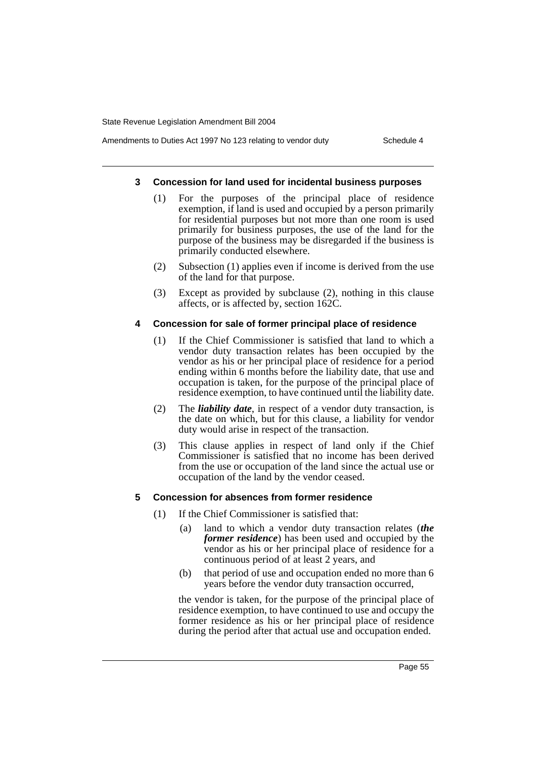## Amendments to Duties Act 1997 No 123 relating to vendor duty Schedule 4

#### **3 Concession for land used for incidental business purposes**

- (1) For the purposes of the principal place of residence exemption, if land is used and occupied by a person primarily for residential purposes but not more than one room is used primarily for business purposes, the use of the land for the purpose of the business may be disregarded if the business is primarily conducted elsewhere.
- (2) Subsection (1) applies even if income is derived from the use of the land for that purpose.
- (3) Except as provided by subclause (2), nothing in this clause affects, or is affected by, section 162C.

### **4 Concession for sale of former principal place of residence**

- (1) If the Chief Commissioner is satisfied that land to which a vendor duty transaction relates has been occupied by the vendor as his or her principal place of residence for a period ending within 6 months before the liability date, that use and occupation is taken, for the purpose of the principal place of residence exemption, to have continued until the liability date.
- (2) The *liability date*, in respect of a vendor duty transaction, is the date on which, but for this clause, a liability for vendor duty would arise in respect of the transaction.
- (3) This clause applies in respect of land only if the Chief Commissioner is satisfied that no income has been derived from the use or occupation of the land since the actual use or occupation of the land by the vendor ceased.

## **5 Concession for absences from former residence**

- (1) If the Chief Commissioner is satisfied that:
	- (a) land to which a vendor duty transaction relates (*the former residence*) has been used and occupied by the vendor as his or her principal place of residence for a continuous period of at least 2 years, and
	- (b) that period of use and occupation ended no more than 6 years before the vendor duty transaction occurred,

the vendor is taken, for the purpose of the principal place of residence exemption, to have continued to use and occupy the former residence as his or her principal place of residence during the period after that actual use and occupation ended.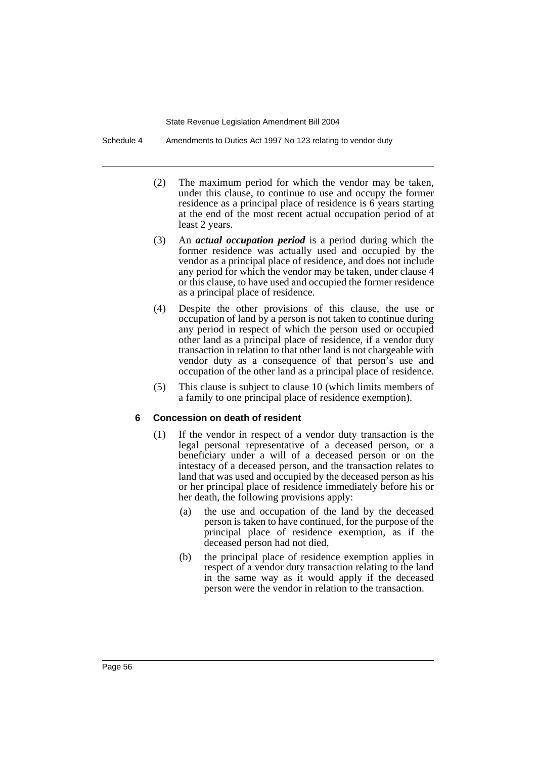Schedule 4 Amendments to Duties Act 1997 No 123 relating to vendor duty

- (2) The maximum period for which the vendor may be taken, under this clause, to continue to use and occupy the former residence as a principal place of residence is 6 years starting at the end of the most recent actual occupation period of at least 2 years.
- (3) An *actual occupation period* is a period during which the former residence was actually used and occupied by the vendor as a principal place of residence, and does not include any period for which the vendor may be taken, under clause 4 or this clause, to have used and occupied the former residence as a principal place of residence.
- (4) Despite the other provisions of this clause, the use or occupation of land by a person is not taken to continue during any period in respect of which the person used or occupied other land as a principal place of residence, if a vendor duty transaction in relation to that other land is not chargeable with vendor duty as a consequence of that person's use and occupation of the other land as a principal place of residence.
- (5) This clause is subject to clause 10 (which limits members of a family to one principal place of residence exemption).

## **6 Concession on death of resident**

- (1) If the vendor in respect of a vendor duty transaction is the legal personal representative of a deceased person, or a beneficiary under a will of a deceased person or on the intestacy of a deceased person, and the transaction relates to land that was used and occupied by the deceased person as his or her principal place of residence immediately before his or her death, the following provisions apply:
	- (a) the use and occupation of the land by the deceased person is taken to have continued, for the purpose of the principal place of residence exemption, as if the deceased person had not died,
	- (b) the principal place of residence exemption applies in respect of a vendor duty transaction relating to the land in the same way as it would apply if the deceased person were the vendor in relation to the transaction.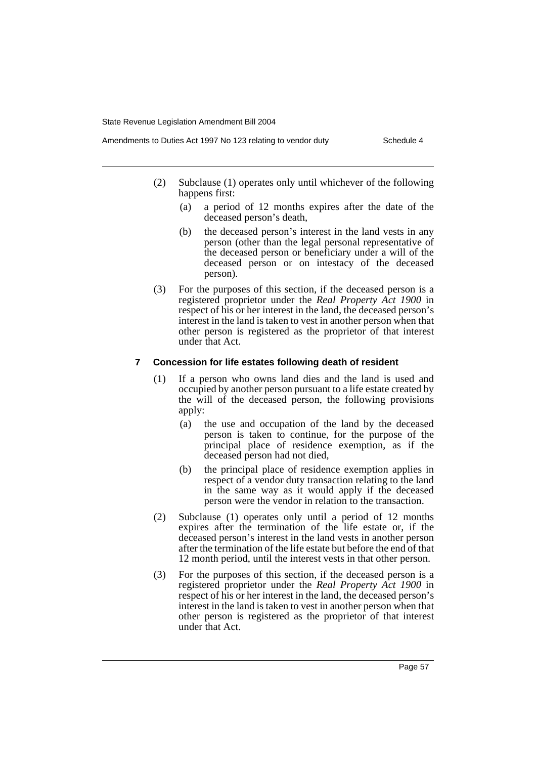- Amendments to Duties Act 1997 No 123 relating to vendor duty Schedule 4
	- (2) Subclause (1) operates only until whichever of the following happens first:
		- (a) a period of 12 months expires after the date of the deceased person's death,
		- (b) the deceased person's interest in the land vests in any person (other than the legal personal representative of the deceased person or beneficiary under a will of the deceased person or on intestacy of the deceased person).
	- (3) For the purposes of this section, if the deceased person is a registered proprietor under the *Real Property Act 1900* in respect of his or her interest in the land, the deceased person's interest in the land is taken to vest in another person when that other person is registered as the proprietor of that interest under that Act.

## **7 Concession for life estates following death of resident**

- (1) If a person who owns land dies and the land is used and occupied by another person pursuant to a life estate created by the will of the deceased person, the following provisions apply:
	- (a) the use and occupation of the land by the deceased person is taken to continue, for the purpose of the principal place of residence exemption, as if the deceased person had not died,
	- (b) the principal place of residence exemption applies in respect of a vendor duty transaction relating to the land in the same way as it would apply if the deceased person were the vendor in relation to the transaction.
- (2) Subclause (1) operates only until a period of 12 months expires after the termination of the life estate or, if the deceased person's interest in the land vests in another person after the termination of the life estate but before the end of that 12 month period, until the interest vests in that other person.
- (3) For the purposes of this section, if the deceased person is a registered proprietor under the *Real Property Act 1900* in respect of his or her interest in the land, the deceased person's interest in the land is taken to vest in another person when that other person is registered as the proprietor of that interest under that Act.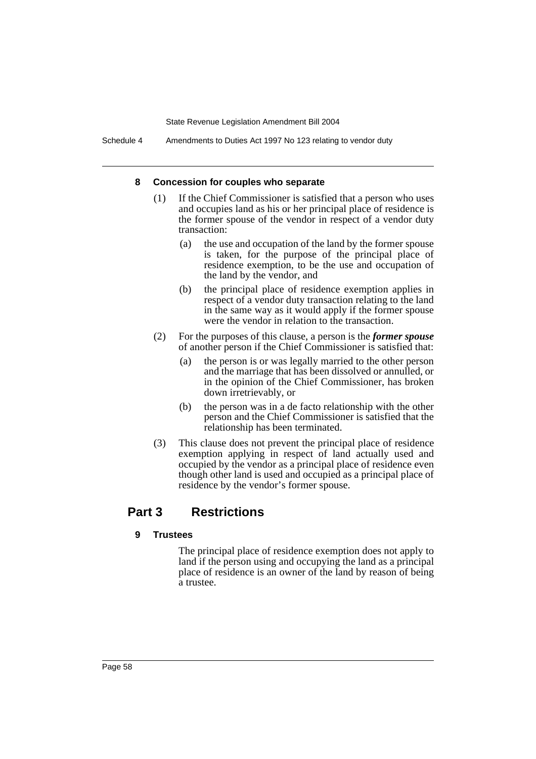Schedule 4 Amendments to Duties Act 1997 No 123 relating to vendor duty

### **8 Concession for couples who separate**

- (1) If the Chief Commissioner is satisfied that a person who uses and occupies land as his or her principal place of residence is the former spouse of the vendor in respect of a vendor duty transaction:
	- (a) the use and occupation of the land by the former spouse is taken, for the purpose of the principal place of residence exemption, to be the use and occupation of the land by the vendor, and
	- (b) the principal place of residence exemption applies in respect of a vendor duty transaction relating to the land in the same way as it would apply if the former spouse were the vendor in relation to the transaction.
- (2) For the purposes of this clause, a person is the *former spouse* of another person if the Chief Commissioner is satisfied that:
	- (a) the person is or was legally married to the other person and the marriage that has been dissolved or annulled, or in the opinion of the Chief Commissioner, has broken down irretrievably, or
	- (b) the person was in a de facto relationship with the other person and the Chief Commissioner is satisfied that the relationship has been terminated.
- (3) This clause does not prevent the principal place of residence exemption applying in respect of land actually used and occupied by the vendor as a principal place of residence even though other land is used and occupied as a principal place of residence by the vendor's former spouse.

## **Part 3 Restrictions**

## **9 Trustees**

The principal place of residence exemption does not apply to land if the person using and occupying the land as a principal place of residence is an owner of the land by reason of being a trustee.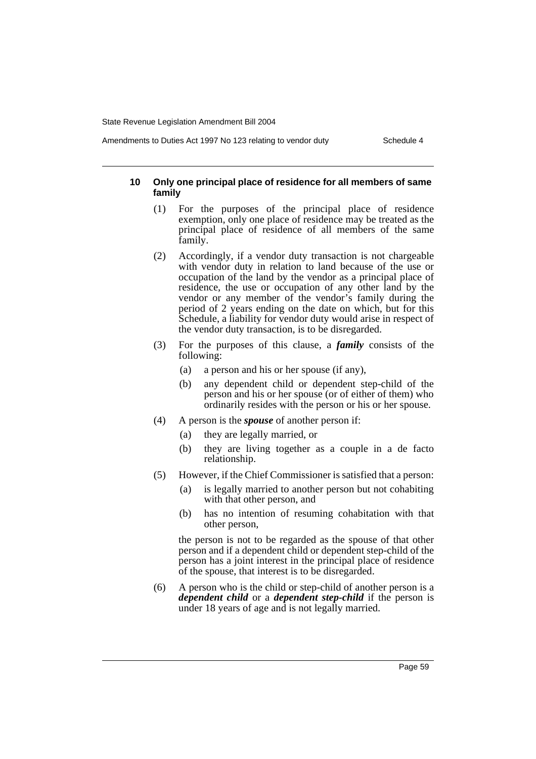#### Amendments to Duties Act 1997 No 123 relating to vendor duty Schedule 4

## **10 Only one principal place of residence for all members of same family**

- (1) For the purposes of the principal place of residence exemption, only one place of residence may be treated as the principal place of residence of all members of the same family.
- (2) Accordingly, if a vendor duty transaction is not chargeable with vendor duty in relation to land because of the use or occupation of the land by the vendor as a principal place of residence, the use or occupation of any other land by the vendor or any member of the vendor's family during the period of 2 years ending on the date on which, but for this Schedule, a liability for vendor duty would arise in respect of the vendor duty transaction, is to be disregarded.
- (3) For the purposes of this clause, a *family* consists of the following:
	- (a) a person and his or her spouse (if any),
	- (b) any dependent child or dependent step-child of the person and his or her spouse (or of either of them) who ordinarily resides with the person or his or her spouse.
- (4) A person is the *spouse* of another person if:
	- (a) they are legally married, or
	- (b) they are living together as a couple in a de facto relationship.
- (5) However, if the Chief Commissioner is satisfied that a person:
	- (a) is legally married to another person but not cohabiting with that other person, and
	- (b) has no intention of resuming cohabitation with that other person,

the person is not to be regarded as the spouse of that other person and if a dependent child or dependent step-child of the person has a joint interest in the principal place of residence of the spouse, that interest is to be disregarded.

(6) A person who is the child or step-child of another person is a *dependent child* or a *dependent step-child* if the person is under 18 years of age and is not legally married.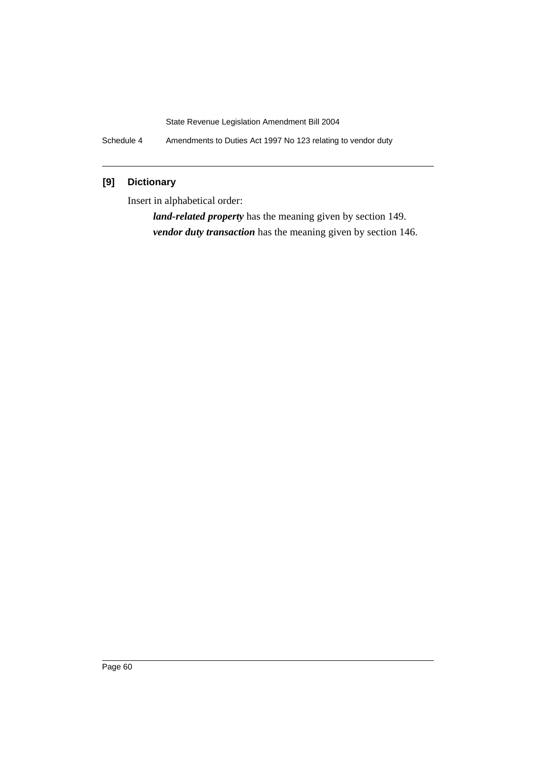Schedule 4 Amendments to Duties Act 1997 No 123 relating to vendor duty

## **[9] Dictionary**

Insert in alphabetical order:

*land-related property* has the meaning given by section 149. *vendor duty transaction* has the meaning given by section 146.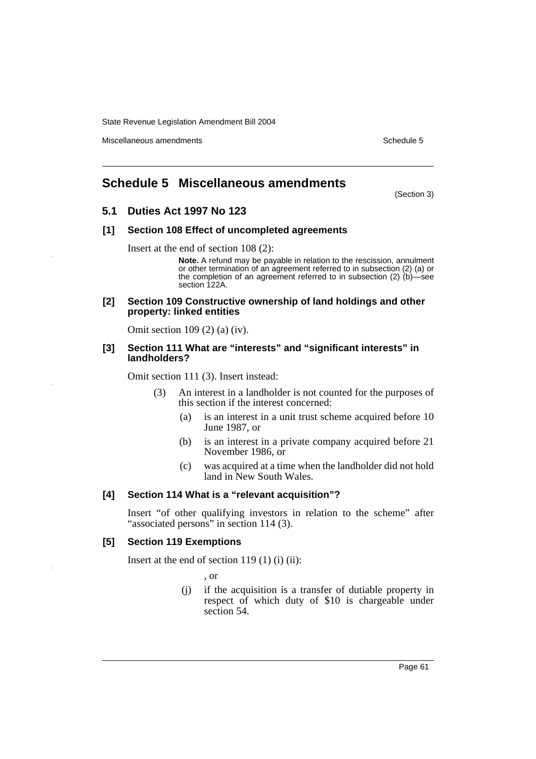Miscellaneous amendments **Schedule 5** and the schedule 5

## **Schedule 5 Miscellaneous amendments**

(Section 3)

## **5.1 Duties Act 1997 No 123**

### **[1] Section 108 Effect of uncompleted agreements**

Insert at the end of section 108 (2):

**Note.** A refund may be payable in relation to the rescission, annulment or other termination of an agreement referred to in subsection (2) (a) or the completion of an agreement referred to in subsection (2)  $(b)$ —see section 122A.

#### **[2] Section 109 Constructive ownership of land holdings and other property: linked entities**

Omit section 109 (2) (a) (iv).

#### **[3] Section 111 What are "interests" and "significant interests" in landholders?**

Omit section 111 (3). Insert instead:

- (3) An interest in a landholder is not counted for the purposes of this section if the interest concerned:
	- (a) is an interest in a unit trust scheme acquired before 10 June 1987, or
	- (b) is an interest in a private company acquired before 21 November 1986, or
	- (c) was acquired at a time when the landholder did not hold land in New South Wales.

## **[4] Section 114 What is a "relevant acquisition"?**

Insert "of other qualifying investors in relation to the scheme" after "associated persons" in section 114 (3).

## **[5] Section 119 Exemptions**

Insert at the end of section 119 (1) (i) (ii):

, or

(j) if the acquisition is a transfer of dutiable property in respect of which duty of \$10 is chargeable under section 54.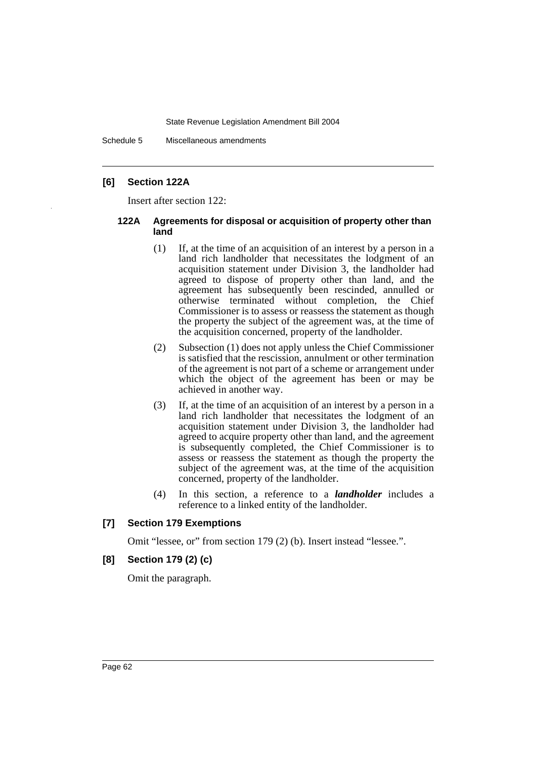Schedule 5 Miscellaneous amendments

## **[6] Section 122A**

Insert after section 122:

### **122A Agreements for disposal or acquisition of property other than land**

- (1) If, at the time of an acquisition of an interest by a person in a land rich landholder that necessitates the lodgment of an acquisition statement under Division 3, the landholder had agreed to dispose of property other than land, and the agreement has subsequently been rescinded, annulled or otherwise terminated without completion, the Chief Commissioner is to assess or reassess the statement as though the property the subject of the agreement was, at the time of the acquisition concerned, property of the landholder.
- (2) Subsection (1) does not apply unless the Chief Commissioner is satisfied that the rescission, annulment or other termination of the agreement is not part of a scheme or arrangement under which the object of the agreement has been or may be achieved in another way.
- (3) If, at the time of an acquisition of an interest by a person in a land rich landholder that necessitates the lodgment of an acquisition statement under Division 3, the landholder had agreed to acquire property other than land, and the agreement is subsequently completed, the Chief Commissioner is to assess or reassess the statement as though the property the subject of the agreement was, at the time of the acquisition concerned, property of the landholder.
- (4) In this section, a reference to a *landholder* includes a reference to a linked entity of the landholder.

## **[7] Section 179 Exemptions**

Omit "lessee, or" from section 179 (2) (b). Insert instead "lessee.".

## **[8] Section 179 (2) (c)**

Omit the paragraph.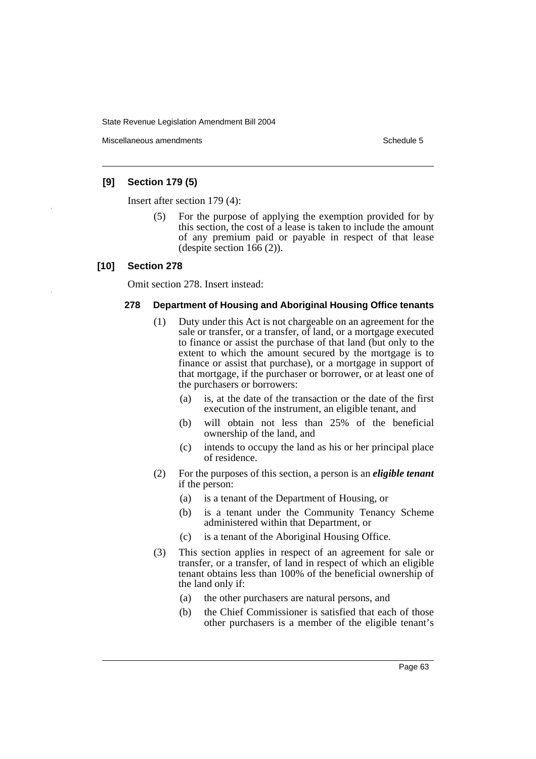Miscellaneous amendments **Schedule 5** and the schedule 5

## **[9] Section 179 (5)**

Insert after section 179 (4):

(5) For the purpose of applying the exemption provided for by this section, the cost of a lease is taken to include the amount of any premium paid or payable in respect of that lease (despite section  $166(2)$ ).

## **[10] Section 278**

Omit section 278. Insert instead:

### **278 Department of Housing and Aboriginal Housing Office tenants**

- (1) Duty under this Act is not chargeable on an agreement for the sale or transfer, or a transfer, of land, or a mortgage executed to finance or assist the purchase of that land (but only to the extent to which the amount secured by the mortgage is to finance or assist that purchase), or a mortgage in support of that mortgage, if the purchaser or borrower, or at least one of the purchasers or borrowers:
	- (a) is, at the date of the transaction or the date of the first execution of the instrument, an eligible tenant, and
	- (b) will obtain not less than 25% of the beneficial ownership of the land, and
	- (c) intends to occupy the land as his or her principal place of residence.
- (2) For the purposes of this section, a person is an *eligible tenant* if the person:
	- (a) is a tenant of the Department of Housing, or
	- (b) is a tenant under the Community Tenancy Scheme administered within that Department, or
	- (c) is a tenant of the Aboriginal Housing Office.
- (3) This section applies in respect of an agreement for sale or transfer, or a transfer, of land in respect of which an eligible tenant obtains less than 100% of the beneficial ownership of the land only if:
	- (a) the other purchasers are natural persons, and
	- (b) the Chief Commissioner is satisfied that each of those other purchasers is a member of the eligible tenant's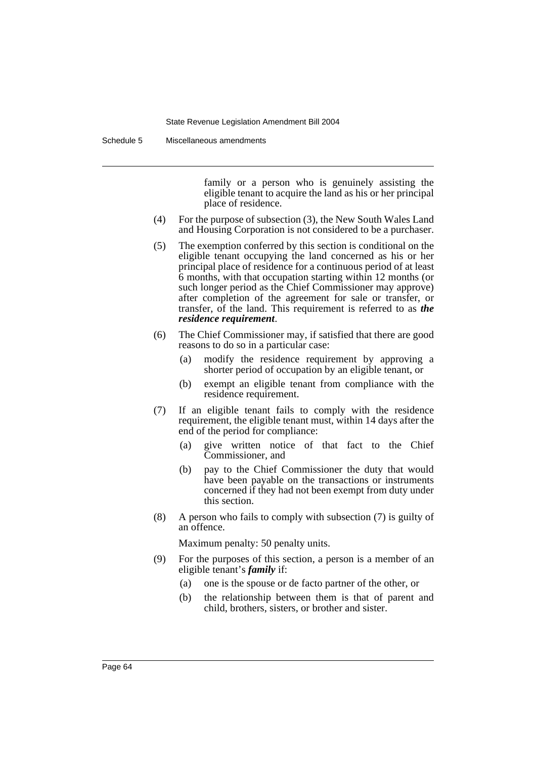Schedule 5 Miscellaneous amendments

family or a person who is genuinely assisting the eligible tenant to acquire the land as his or her principal place of residence.

- (4) For the purpose of subsection (3), the New South Wales Land and Housing Corporation is not considered to be a purchaser.
- (5) The exemption conferred by this section is conditional on the eligible tenant occupying the land concerned as his or her principal place of residence for a continuous period of at least 6 months, with that occupation starting within 12 months (or such longer period as the Chief Commissioner may approve) after completion of the agreement for sale or transfer, or transfer, of the land. This requirement is referred to as *the residence requirement*.
- (6) The Chief Commissioner may, if satisfied that there are good reasons to do so in a particular case:
	- (a) modify the residence requirement by approving a shorter period of occupation by an eligible tenant, or
	- (b) exempt an eligible tenant from compliance with the residence requirement.
- (7) If an eligible tenant fails to comply with the residence requirement, the eligible tenant must, within 14 days after the end of the period for compliance:
	- (a) give written notice of that fact to the Chief Commissioner, and
	- (b) pay to the Chief Commissioner the duty that would have been payable on the transactions or instruments concerned if they had not been exempt from duty under this section.
- (8) A person who fails to comply with subsection (7) is guilty of an offence.

Maximum penalty: 50 penalty units.

- (9) For the purposes of this section, a person is a member of an eligible tenant's *family* if:
	- (a) one is the spouse or de facto partner of the other, or
	- (b) the relationship between them is that of parent and child, brothers, sisters, or brother and sister.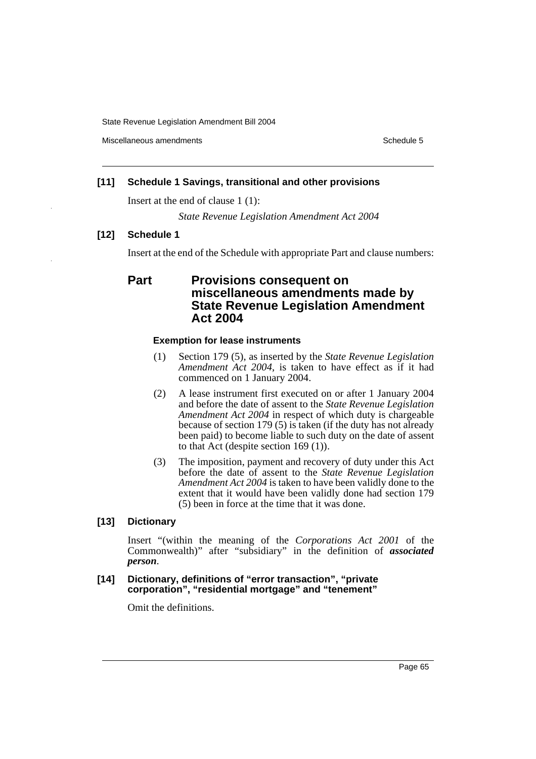Miscellaneous amendments **Schedule 5** and the schedule 5

## **[11] Schedule 1 Savings, transitional and other provisions**

Insert at the end of clause 1 (1):

*State Revenue Legislation Amendment Act 2004*

## **[12] Schedule 1**

Insert at the end of the Schedule with appropriate Part and clause numbers:

## **Part Provisions consequent on miscellaneous amendments made by State Revenue Legislation Amendment Act 2004**

## **Exemption for lease instruments**

- (1) Section 179 (5), as inserted by the *State Revenue Legislation Amendment Act 2004*, is taken to have effect as if it had commenced on 1 January 2004.
- (2) A lease instrument first executed on or after 1 January 2004 and before the date of assent to the *State Revenue Legislation Amendment Act 2004* in respect of which duty is chargeable because of section 179 (5) is taken (if the duty has not already been paid) to become liable to such duty on the date of assent to that Act (despite section 169 (1)).
- (3) The imposition, payment and recovery of duty under this Act before the date of assent to the *State Revenue Legislation Amendment Act 2004* is taken to have been validly done to the extent that it would have been validly done had section 179 (5) been in force at the time that it was done.

## **[13] Dictionary**

Insert "(within the meaning of the *Corporations Act 2001* of the Commonwealth)" after "subsidiary" in the definition of *associated person*.

## **[14] Dictionary, definitions of "error transaction", "private corporation", "residential mortgage" and "tenement"**

Omit the definitions.